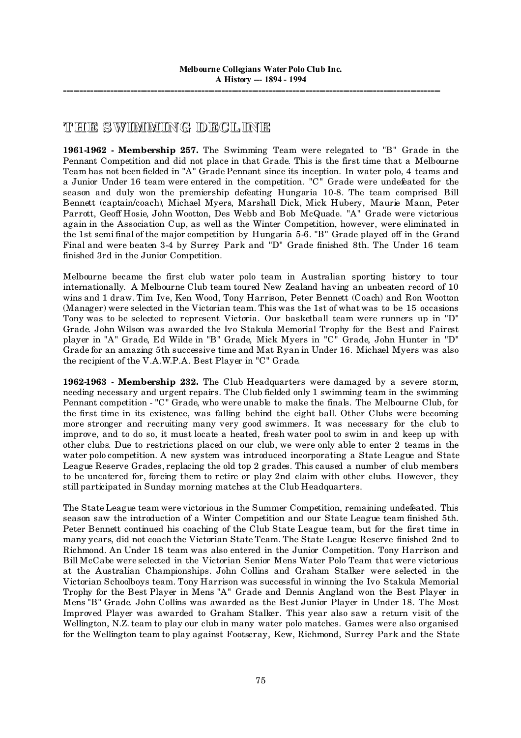## **THE SWIMMING DECL INE**

**1961-1962 - Membership 257.** The Swimming Team were relegated to "B" Grade in the Pennant Competition and did not place in that Grade. This is the first time that a Melbourne Team has not been fielded in "A" Grade Pennant since its inception. In water polo, 4 teams and a Junior Under 16 team were entered in the competition. "C" Grade were undefeated for the season and duly won the premiership defeating Hungaria 10-8. The team comprised Bill Bennett (captain/coach), Michael Myers, Marshall Dick, Mick Hubery, Maurie Mann, Peter Parrott, Geoff Hosie, John Wootton, Des Webb and Bob McQuade. "A" Grade were victorious again in the Association Cup, as well as the Winter Competition, however, were eliminated in the 1st semi final of the major competition by Hungaria 5-6. "B" Grade played off in the Grand Final and were beaten 3-4 by Surrey Park and "D" Grade finished 8th. The Under 16 team finished 3rd in the Junior Competition.

Melbourne became the first club water polo team in Australian sporting history to tour internationally. A Melbourne Club team toured New Zealand having an unbeaten record of 10 wins and 1 draw. Tim Ive, Ken Wood, Tony Harrison, Peter Bennett (Coach) and Ron Wootton (Manager) were selected in the Victorian team. This was the 1st of what was to be 15 occasions Tony was to be selected to represent Victoria. Our basketball team were runners up in "D" Grade. John Wilson was awarded the Ivo Stakula Memorial Trophy for the Best and Fairest player in "A" Grade, Ed Wilde in "B" Grade, Mick Myers in "C" Grade, John Hunter in "D" Grade for an amazing 5th successive time and Mat Ryan in Under 16. Michael Myers was also the recipient of the V.A.W.P.A. Best Player in "C" Grade.

**1962-1963 - Membership 232.** The Club Headquarters were damaged by a severe storm, needing necessary and urgent repairs. The Club fielded only 1 swimming team in the swimming Pennant competition - "C" Grade, who were unable to make the finals. The Melbourne Club, for the first time in its existence, was falling behind the eight ball. Other Clubs were becoming more stronger and recruiting many very good swimmers. It was necessary for the club to improve, and to do so, it must locate a heated, fresh water pool to swim in and keep up with other clubs. Due to restrictions placed on our club, we were only able to enter 2 teams in the water polo competition. A new system was introduced incorporating a State League and State League Reserve Grades, replacing the old top 2 grades. This caused a number of club members to be uncatered for, forcing them to retire or play 2nd claim with other clubs. However, they still participated in Sunday morning matches at the Club Headquarters.

The State League team were victorious in the Summer Competition, remaining undefeated. This season saw the introduction of a Winter Competition and our State League team finished 5th. Peter Bennett continued his coaching of the Club State League team, but for the first time in many years, did not coach the Victorian State Team. The State League Reserve finished 2nd to Richmond. An Under 18 team was also entered in the Junior Competition. Tony Harrison and Bill McCabe were selected in the Victorian Senior Mens Water Polo Team that were victorious at the Australian Championships. John Collins and Graham Stalker were selected in the Victorian Schoolboys team. Tony Harrison was successful in winning the Ivo Stakula Memorial Trophy for the Best Player in Mens "A" Grade and Dennis Angland won the Best Player in Mens "B" Grade. John Collins was awarded as the Best Junior Player in Under 18. The Most Improved Player was awarded to Graham Stalker. This year also saw a return visit of the Wellington, N.Z. team to play our club in many water polo matches. Games were also organised for the Wellington team to play against Footscray, Kew, Richmond, Surrey Park and the State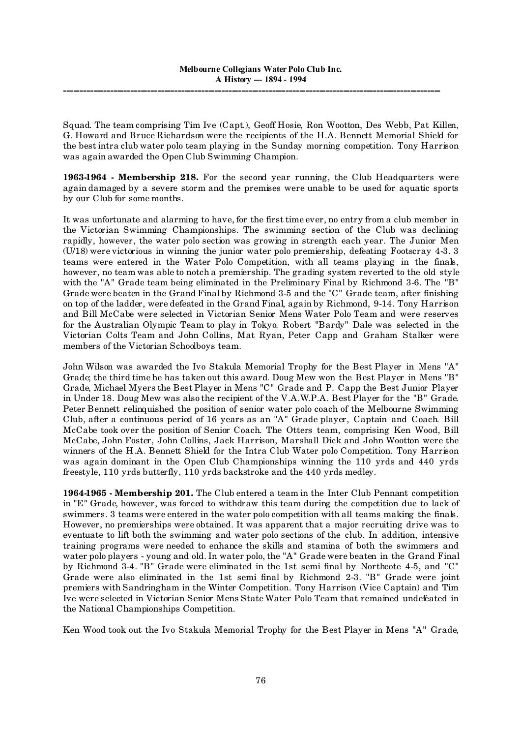Squad. The team comprising Tim Ive (Capt.), Geoff Hosie, Ron Wootton, Des Webb, Pat Killen, G. Howard and Bruce Richardson were the recipients of the H.A. Bennett Memorial Shield for the best intra club water polo team playing in the Sunday morning competition. Tony Harrison was again awarded the Open Club Swimming Champion.

**1963-1964 - Membership 218.** For the second year running, the Club Headquarters were again damaged by a severe storm and the premises were unable to be used for aquatic sports by our Club for some months.

It was unfortunate and alarming to have, for the first time ever, no entry from a club member in the Victorian Swimming Championships. The swimming section of the Club was declining rapidly, however, the water polo section was growing in strength each year. The Junior Men (U/18) were victorious in winning the junior water polo premiership, defeating Footscray 4-3. 3 teams were entered in the Water Polo Competition, with all teams playing in the finals, however, no team was able to notch a premiership. The grading system reverted to the old style with the "A" Grade team being eliminated in the Preliminary Final by Richmond 3-6. The "B" Grade were beaten in the Grand Final by Richmond 3-5 and the "C" Grade team, after finishing on top of the ladder, were defeated in the Grand Final, again by Richmond, 9-14. Tony Harrison and Bill McCabe were selected in Victorian Senior Mens Water Polo Team and were reserves for the Australian Olympic Team to play in Tokyo. Robert "Bardy" Dale was selected in the Victorian Colts Team and John Collins, Mat Ryan, Peter Capp and Graham Stalker were members of the Victorian Schoolboys team.

John Wilson was awarded the Ivo Stakula Memorial Trophy for the Best Player in Mens "A" Grade; the third time he has taken out this award. Doug Mew won the Best Player in Mens "B" Grade, Michael Myers the Best Player in Mens "C" Grade and P. Capp the Best Junior Player in Under 18. Doug Mew was also the recipient of the V.A.W.P.A. Best Player for the "B" Grade. Peter Bennett relinquished the position of senior water polo coach of the Melbourne Swimming Club, after a continuous period of 16 years as an "A" Grade player, Captain and Coach. Bill McCabe took over the position of Senior Coach. The Otters team, comprising Ken Wood, Bill McCabe, John Foster, John Collins, Jack Harrison, Marshall Dick and John Wootton were the winners of the H.A. Bennett Shield for the Intra Club Water polo Competition. Tony Harrison was again dominant in the Open Club Championships winning the 110 yrds and 440 yrds freestyle, 110 yrds butterfly, 110 yrds backstroke and the 440 yrds medley.

**1964-1965 - Membership 201.** The Club entered a team in the Inter Club Pennant competition in "E" Grade, however, was forced to withdraw this team during the competition due to lack of swimmers. 3 teams were entered in the water polo competition with all teams making the finals. However, no premierships were obtained. It was apparent that a major recruiting drive was to eventuate to lift both the swimming and water polo sections of the club. In addition, intensive training programs were needed to enhance the skills and stamina of both the swimmers and water polo players - young and old. In water polo, the "A" Grade were beaten in the Grand Final by Richmond 3-4. "B" Grade were eliminated in the 1st semi final by Northcote 4-5, and "C" Grade were also eliminated in the 1st semi final by Richmond 2-3. "B" Grade were joint premiers with Sandringham in the Winter Competition. Tony Harrison (Vice Captain) and Tim Ive were selected in Victorian Senior Mens State Water Polo Team that remained undefeated in the National Championships Competition.

Ken Wood took out the Ivo Stakula Memorial Trophy for the Best Player in Mens "A" Grade,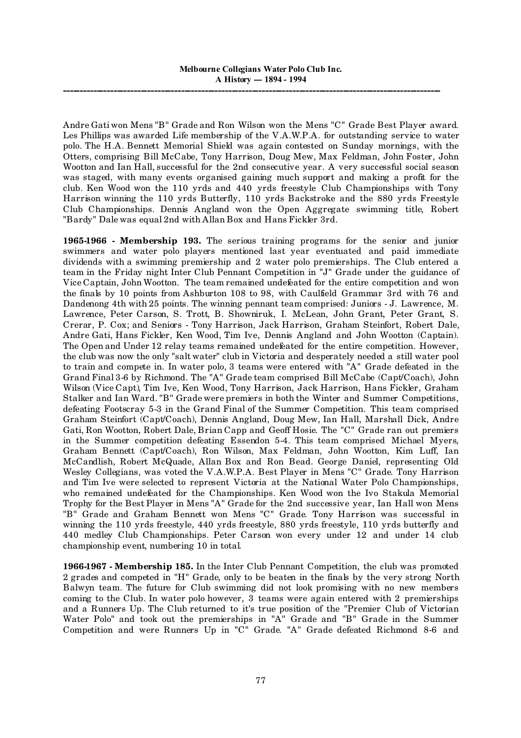Andre Gati won Mens "B" Grade and Ron Wilson won the Mens "C" Grade Best Player award. Les Phillips was awarded Life membership of the V.A.W.P.A. for outstanding service to water polo. The H.A. Bennett Memorial Shield was again contested on Sunday mornings, with the Otters, comprising Bill McCabe, Tony Harrison, Doug Mew, Max Feldman, John Foster, John Wootton and Ian Hall, successful for the 2nd consecutive year. A very successful social season was staged, with many events organised gaining much support and making a profit for the club. Ken Wood won the 110 yrds and 440 yrds freestyle Club Championships with Tony Harrison winning the 110 yrds Butterfly, 110 yrds Backstroke and the 880 yrds Freestyle Club Championships. Dennis Angland won the Open Aggregate swimming title, Robert "Bardy" Dale was equal 2nd with Allan Box and Hans Fickler 3rd.

**1965-1966 - Membership 193.** The serious training programs for the senior and junior swimmers and water polo players mentioned last year eventuated and paid immediate dividends with a swimming premiership and 2 water polo premierships. The Club entered a team in the Friday night Inter Club Pennant Competition in "J" Grade under the guidance of Vice Captain, John Wootton. The team remained undefeated for the entire competition and won the finals by 10 points from Ashburton 108 to 98, with Caulfield Grammar 3rd with 76 and Dandenong 4th with 25 points. The winning pennant team comprised: Juniors - J. Lawrence, M. Lawrence, Peter Carson, S. Trott, B. Showniruk, I. McLean, John Grant, Peter Grant, S. Crerar, P. Cox; and Seniors - Tony Harrison, Jack Harrison, Graham Steinfort, Robert Dale, Andre Gati, Hans Fickler, Ken Wood, Tim Ive, Dennis Angland and John Wootton (Captain). The Open and Under 12 relay teams remained undefeated for the entire competition. However, the club was now the only "salt water" club in Victoria and desperately needed a still water pool to train and compete in. In water polo, 3 teams were entered with "A" Grade defeated in the Grand Final 3-6 by Richmond. The "A" Grade team comprised Bill McCabe (Capt/Coach), John Wilson (Vice Capt), Tim Ive, Ken Wood, Tony Harrison, Jack Harrison, Hans Fickler, Graham Stalker and Ian Ward. "B" Grade were premiers in both the Winter and Summer Competitions, defeating Footscray 5-3 in the Grand Final of the Summer Competition. This team comprised Graham Steinfort (Capt/Coach), Dennis Angland, Doug Mew, Ian Hall, Marshall Dick, Andre Gati, Ron Wootton, Robert Dale, Brian Capp and Geoff Hosie. The "C" Grade ran out premiers in the Summer competition defeating Essendon 5-4. This team comprised Michael Myers, Graham Bennett (Capt/Coach), Ron Wilson, Max Feldman, John Wootton, Kim Luff, Ian McCandlish, Robert McQuade, Allan Box and Ron Bead. George Daniel, representing Old Wesley Collegians, was voted the V.A.W.P.A. Best Player in Mens "C" Grade. Tony Harrison and Tim Ive were selected to represent Victoria at the National Water Polo Championships, who remained undefeated for the Championships. Ken Wood won the Ivo Stakula Memorial Trophy for the Best Player in Mens "A" Grade for the 2nd successive year, Ian Hall won Mens "B" Grade and Graham Bennett won Mens "C" Grade. Tony Harrison was successful in winning the 110 yrds freestyle, 440 yrds freestyle, 880 yrds freestyle, 110 yrds butterfly and 440 medley Club Championships. Peter Carson won every under 12 and under 14 club championship event, numbering 10 in total.

**1966-1967 - Membership 185.** In the Inter Club Pennant Competition, the club was promoted 2 grades and competed in "H" Grade, only to be beaten in the finals by the very strong North Balwyn team. The future for Club swimming did not look promising with no new members coming to the Club. In water polo however, 3 teams were again entered with 2 premierships and a Runners Up. The Club returned to it's true position of the "Premier Club of Victorian Water Polo" and took out the premierships in "A" Grade and "B" Grade in the Summer Competition and were Runners Up in "C" Grade. "A" Grade defeated Richmond 8-6 and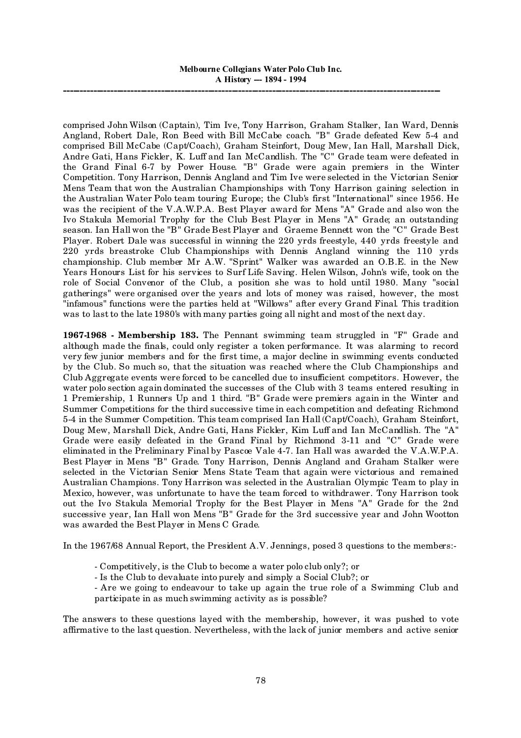comprised John Wilson (Captain), Tim Ive, Tony Harrison, Graham Stalker, Ian Ward, Dennis Angland, Robert Dale, Ron Beed with Bill McCabe coach. "B" Grade defeated Kew 5-4 and comprised Bill McCabe (Capt/Coach), Graham Steinfort, Doug Mew, Ian Hall, Marshall Dick, Andre Gati, Hans Fickler, K. Luff and Ian McCandlish. The "C" Grade team were defeated in the Grand Final 6-7 by Power House. "B" Grade were again premiers in the Winter Competition. Tony Harrison, Dennis Angland and Tim Ive were selected in the Victorian Senior Mens Team that won the Australian Championships with Tony Harrison gaining selection in the Australian Water Polo team touring Europe; the Club's first "International" since 1956. He was the recipient of the V.A.W.P.A. Best Player award for Mens "A" Grade and also won the Ivo Stakula Memorial Trophy for the Club Best Player in Mens "A" Grade; an outstanding season. Ian Hall won the "B" Grade Best Player and Graeme Bennett won the "C" Grade Best Player. Robert Dale was successful in winning the 220 yrds freestyle, 440 yrds freestyle and 220 yrds breastroke Club Championships with Dennis Angland winning the 110 yrds championship. Club member Mr A.W. "Sprint" Walker was awarded an O.B.E. in the New Years Honours List for his services to Surf Life Saving. Helen Wilson, John's wife, took on the role of Social Convenor of the Club, a position she was to hold until 1980. Many "social gatherings" were organised over the years and lots of money was raised, however, the most "infamous" functions were the parties held at "Willows" after every Grand Final. This tradition was to last to the late 1980's with many parties going all night and most of the next day.

**1967-1968 - Membership 183.** The Pennant swimming team struggled in "F" Grade and although made the finals, could only register a token performance. It was alarming to record very few junior members and for the first time, a major decline in swimming events conducted by the Club. So much so, that the situation was reached where the Club Championships and Club Aggregate events were forced to be cancelled due to insufficient competitors. However, the water polo section again dominated the successes of the Club with 3 teams entered resulting in 1 Premiership, 1 Runners Up and 1 third. "B" Grade were premiers again in the Winter and Summer Competitions for the third successive time in each competition and defeating Richmond 5-4 in the Summer Competition. This team comprised Ian Hall (Capt/Coach), Graham Steinfort, Doug Mew, Marshall Dick, Andre Gati, Hans Fickler, Kim Luff and Ian McCandlish. The "A" Grade were easily defeated in the Grand Final by Richmond 3-11 and "C" Grade were eliminated in the Preliminary Final by Pascoe Vale 4-7. Ian Hall was awarded the V.A.W.P.A. Best Player in Mens "B" Grade. Tony Harrison, Dennis Angland and Graham Stalker were selected in the Victorian Senior Mens State Team that again were victorious and remained Australian Champions. Tony Harrison was selected in the Australian Olympic Team to play in Mexico, however, was unfortunate to have the team forced to withdrawer. Tony Harrison took out the Ivo Stakula Memorial Trophy for the Best Player in Mens "A" Grade for the 2nd successive year, Ian Hall won Mens "B" Grade for the 3rd successive year and John Wootton was awarded the Best Player in Mens C Grade.

In the 1967/68 Annual Report, the President A.V. Jennings, posed 3 questions to the members:-

- Competitively, is the Club to become a water polo club only?; or
- Is the Club to devaluate into purely and simply a Social Club?; or

- Are we going to endeavour to take up again the true role of a Swimming Club and participate in as much swimming activity as is possible?

The answers to these questions layed with the membership, however, it was pushed to vote affirmative to the last question. Nevertheless, with the lack of junior members and active senior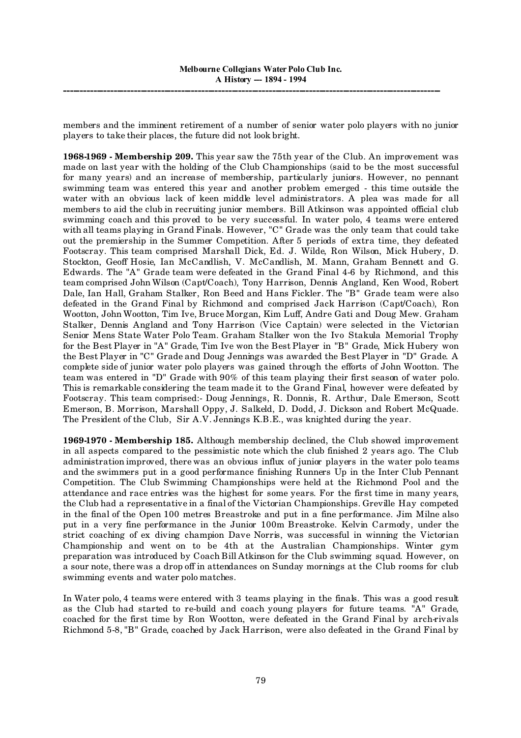members and the imminent retirement of a number of senior water polo players with no junior players to take their places, the future did not look bright.

**1968-1969 - Membership 209.** This year saw the 75th year of the Club. An improvement was made on last year with the holding of the Club Championships (said to be the most successful for many years) and an increase of membership, particularly juniors. However, no pennant swimming team was entered this year and another problem emerged - this time outside the water with an obvious lack of keen middle level administrators. A plea was made for all members to aid the club in recruiting junior members. Bill Atkinson was appointed official club swimming coach and this proved to be very successful. In water polo, 4 teams were entered with all teams playing in Grand Finals. However, "C" Grade was the only team that could take out the premiership in the Summer Competition. After 5 periods of extra time, they defeated Footscray. This team comprised Marshall Dick, Ed. J. Wilde, Ron Wilson, Mick Hubery, D. Stockton, Geoff Hosie, Ian McCandlish, V. McCandlish, M. Mann, Graham Bennett and G. Edwards. The "A" Grade team were defeated in the Grand Final 4-6 by Richmond, and this team comprised John Wilson (Capt/Coach), Tony Harrison, Dennis Angland, Ken Wood, Robert Dale, Ian Hall, Graham Stalker, Ron Beed and Hans Fickler. The "B" Grade team were also defeated in the Grand Final by Richmond and comprised Jack Harrison (Capt/Coach), Ron Wootton, John Wootton, Tim Ive, Bruce Morgan, Kim Luff, Andre Gati and Doug Mew. Graham Stalker, Dennis Angland and Tony Harrison (Vice Captain) were selected in the Victorian Senior Mens State Water Polo Team. Graham Stalker won the Ivo Stakula Memorial Trophy for the Best Player in "A" Grade, Tim Ive won the Best Player in "B" Grade, Mick Hubery won the Best Player in "C" Grade and Doug Jennings was awarded the Best Player in "D" Grade. A complete side of junior water polo players was gained through the efforts of John Wootton. The team was entered in "D" Grade with 90% of this team playing their first season of water polo. This is remarkable considering the team made it to the Grand Final, however were defeated by Footscray. This team comprised:- Doug Jennings, R. Donnis, R. Arthur, Dale Emerson, Scott Emerson, B. Morrison, Marshall Oppy, J. Salkeld, D. Dodd, J. Dickson and Robert McQuade. The President of the Club, Sir A.V. Jennings K.B.E., was knighted during the year.

**1969-1970 - Membership 185.** Although membership declined, the Club showed improvement in all aspects compared to the pessimistic note which the club finished 2 years ago. The Club administration improved, there was an obvious influx of junior players in the water polo teams and the swimmers put in a good performance finishing Runners Up in the Inter Club Pennant Competition. The Club Swimming Championships were held at the Richmond Pool and the attendance and race entries was the highest for some years. For the first time in many years, the Club had a representative in a final of the Victorian Championships. Greville Hay competed in the final of the Open 100 metres Breastroke and put in a fine performance. Jim Milne also put in a very fine performance in the Junior 100m Breastroke. Kelvin Carmody, under the strict coaching of ex diving champion Dave Norris, was successful in winning the Victorian Championship and went on to be 4th at the Australian Championships. Winter gym preparation was introduced by Coach Bill Atkinson for the Club swimming squad. However, on a sour note, there was a drop off in attendances on Sunday mornings at the Club rooms for club swimming events and water polo matches.

In Water polo, 4 teams were entered with 3 teams playing in the finals. This was a good result as the Club had started to re-build and coach young players for future teams. "A" Grade, coached for the first time by Ron Wootton, were defeated in the Grand Final by arch-rivals Richmond 5-8, "B" Grade, coached by Jack Harrison, were also defeated in the Grand Final by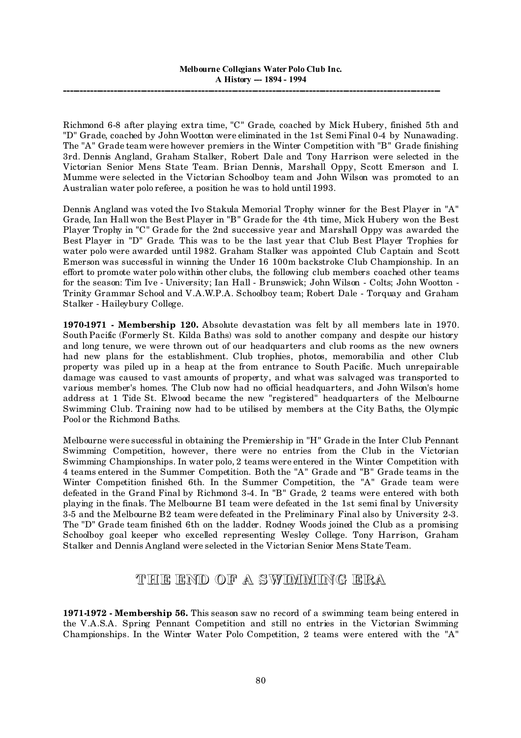Richmond 6-8 after playing extra time, "C" Grade, coached by Mick Hubery, finished 5th and "D" Grade, coached by John Wootton were eliminated in the 1st Semi Final 0-4 by Nunawading. The "A" Grade team were however premiers in the Winter Competition with "B" Grade finishing 3rd. Dennis Angland, Graham Stalker, Robert Dale and Tony Harrison were selected in the Victorian Senior Mens State Team. Brian Dennis, Marshall Oppy, Scott Emerson and I. Mumme were selected in the Victorian Schoolboy team and John Wilson was promoted to an Australian water polo referee, a position he was to hold until 1993.

Dennis Angland was voted the Ivo Stakula Memorial Trophy winner for the Best Player in "A" Grade, Ian Hall won the Best Player in "B" Grade for the 4th time, Mick Hubery won the Best Player Trophy in "C" Grade for the 2nd successive year and Marshall Oppy was awarded the Best Player in "D" Grade. This was to be the last year that Club Best Player Trophies for water polo were awarded until 1982. Graham Stalker was appointed Club Captain and Scott Emerson was successful in winning the Under 16 100m backstroke Club Championship. In an effort to promote water polo within other clubs, the following club members coached other teams for the season: Tim Ive - University; Ian Hall - Brunswick; John Wilson - Colts; John Wootton - Trinity Grammar School and V.A.W.P.A. Schoolboy team; Robert Dale - Torquay and Graham Stalker - Haileybury College.

**1970-1971 - Membership 120.** Absolute devastation was felt by all members late in 1970. South Pacific (Formerly St. Kilda Baths) was sold to another company and despite our history and long tenure, we were thrown out of our headquarters and club rooms as the new owners had new plans for the establishment. Club trophies, photos, memorabilia and other Club property was piled up in a heap at the from entrance to South Pacific. Much unrepairable damage was caused to vast amounts of property, and what was salvaged was transported to various member's homes. The Club now had no official headquarters, and John Wilson's home address at 1 Tide St. Elwood became the new "registered" headquarters of the Melbourne Swimming Club. Training now had to be utilised by members at the City Baths, the Olympic Pool or the Richmond Baths.

Melbourne were successful in obtaining the Premiership in "H" Grade in the Inter Club Pennant Swimming Competition, however, there were no entries from the Club in the Victorian Swimming Championships. In water polo, 2 teams were entered in the Winter Competition with 4 teams entered in the Summer Competition. Both the "A" Grade and "B" Grade teams in the Winter Competition finished 6th. In the Summer Competition, the "A" Grade team were defeated in the Grand Final by Richmond 3-4. In "B" Grade, 2 teams were entered with both playing in the finals. The Melbourne BI team were defeated in the 1st semi final by University 3-5 and the Melbourne B2 team were defeated in the Preliminary Final also by University 2-3. The "D" Grade team finished 6th on the ladder. Rodney Woods joined the Club as a promising Schoolboy goal keeper who excelled representing Wesley College. Tony Harrison, Graham Stalker and Dennis Angland were selected in the Victorian Senior Mens State Team.

## **THE END OF A SWIMMING ERA**

**1971-1972 - Membership 56.** This season saw no record of a swimming team being entered in the V.A.S.A. Spring Pennant Competition and still no entries in the Victorian Swimming Championships. In the Winter Water Polo Competition, 2 teams were entered with the "A"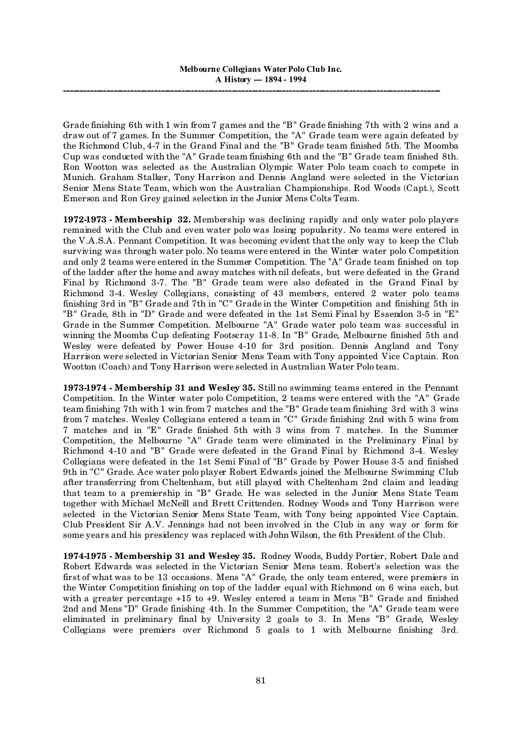Grade finishing 6th with 1 win from 7 games and the "B" Grade finishing 7th with 2 wins and a draw out of 7 games. In the Summer Competition, the "A" Grade team were again defeated by the Richmond Club, 4-7 in the Grand Final and the "B" Grade team finished 5th. The Moomba Cup was conducted with the "A" Grade team finishing 6th and the "B" Grade team finished 8th. Ron Wootton was selected as the Australian Olympic Water Polo team coach to compete in Munich. Graham Stalker, Tony Harrison and Dennis Angland were selected in the Victorian Senior Mens State Team, which won the Australian Championships. Rod Woods (Capt.), Scott Emerson and Ron Grey gained selection in the Junior Mens Colts Team.

**1972-1973 - Membership 32.** Membership was declining rapidly and only water polo players remained with the Club and even water polo was losing popularity. No teams were entered in the V.A.S.A. Pennant Competition. It was becoming evident that the only way to keep the Club surviving was through water polo. No teams were entered in the Winter water polo Competition and only 2 teams were entered in the Summer Competition. The "A" Grade team finished on top of the ladder after the home and away matches with nil defeats, but were defeated in the Grand Final by Richmond 3-7. The "B" Grade team were also defeated in the Grand Final by Richmond 3-4. Wesley Collegians, consisting of 43 members, entered 2 water polo teams finishing 3rd in "B" Grade and 7th in "C" Grade in the Winter Competition and finishing 5th in "B" Grade, 8th in "D" Grade and were defeated in the 1st Semi Final by Essendon 3-5 in "E" Grade in the Summer Competition. Melbourne "A" Grade water polo team was successful in winning the Moomba Cup defeating Footscray 11-8. In "B" Grade, Melbourne finished 5th and Wesley were defeated by Power House 4-10 for 3rd position. Dennis Angland and Tony Harrison were selected in Victorian Senior Mens Team with Tony appointed Vice Captain. Ron Wootton (Coach) and Tony Harrison were selected in Australian Water Polo team.

**1973-1974 - Membership 31 and Wesley 35.** Still no swimming teams entered in the Pennant Competition. In the Winter water polo Competition, 2 teams were entered with the "A" Grade team finishing 7th with 1 win from 7 matches and the "B" Grade team finishing 3rd with 3 wins from 7 matches. Wesley Collegians entered a team in "C" Grade finishing 2nd with 5 wins from 7 matches and in "E" Grade finished 5th with 3 wins from 7 matches. In the Summer Competition, the Melbourne "A" Grade team were eliminated in the Preliminary Final by Richmond 4-10 and "B" Grade were defeated in the Grand Final by Richmond 3-4. Wesley Collegians were defeated in the 1st Semi Final of "B" Grade by Power House 3-5 and finished 9th in "C" Grade. Ace water polo player Robert Edwards joined the Melbourne Swimming Club after transferring from Cheltenham, but still played with Cheltenham 2nd claim and leading that team to a premiership in "B" Grade. He was selected in the Junior Mens State Team together with Michael McNeill and Brett Crittenden. Rodney Woods and Tony Harrison were selected in the Victorian Senior Mens State Team, with Tony being appointed Vice Captain. Club President Sir A.V. Jennings had not been involved in the Club in any way or form for some years and his presidency was replaced with John Wilson, the 6th President of the Club.

**1974-1975 - Membership 31 and Wesley 35.** Rodney Woods, Buddy Portier, Robert Dale and Robert Edwards was selected in the Victorian Senior Mens team. Robert's selection was the first of what was to be 13 occasions. Mens "A" Grade, the only team entered, were premiers in the Winter Competition finishing on top of the ladder equal with Richmond on 6 wins each, but with a greater percentage +15 to +9. Wesley entered a team in Mens "B" Grade and finished 2nd and Mens "D" Grade finishing 4th. In the Summer Competition, the "A" Grade team were eliminated in preliminary final by University 2 goals to 3. In Mens "B" Grade, Wesley Collegians were premiers over Richmond 5 goals to 1 with Melbourne finishing 3rd.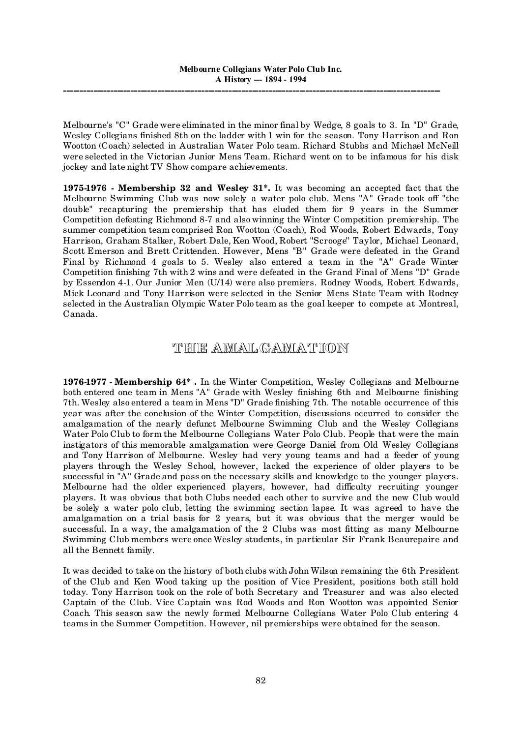Melbourne's "C" Grade were eliminated in the minor final by Wedge, 8 goals to 3. In "D" Grade, Wesley Collegians finished 8th on the ladder with 1 win for the season. Tony Harrison and Ron Wootton (Coach) selected in Australian Water Polo team. Richard Stubbs and Michael McNeill were selected in the Victorian Junior Mens Team. Richard went on to be infamous for his disk jockey and late night TV Show compare achievements.

**1975-1976 - Membership 32 and Wesley 31\*.** It was becoming an accepted fact that the Melbourne Swimming Club was now solely a water polo club. Mens "A" Grade took off "the double" recapturing the premiership that has eluded them for 9 years in the Summer Competition defeating Richmond 8-7 and also winning the Winter Competition premiership. The summer competition team comprised Ron Wootton (Coach), Rod Woods, Robert Edwards, Tony Harrison, Graham Stalker, Robert Dale, Ken Wood, Robert "Scrooge" Taylor, Michael Leonard, Scott Emerson and Brett Crittenden. However, Mens "B" Grade were defeated in the Grand Final by Richmond 4 goals to 5. Wesley also entered a team in the "A" Grade Winter Competition finishing 7th with 2 wins and were defeated in the Grand Final of Mens "D" Grade by Essendon 4-1. Our Junior Men (U/14) were also premiers. Rodney Woods, Robert Edwards, Mick Leonard and Tony Harrison were selected in the Senior Mens State Team with Rodney selected in the Australian Olympic Water Polo team as the goal keeper to compete at Montreal, Canada.

## **THE AMAL GAMAT ION**

**1976-1977 - Membership 64\* .** In the Winter Competition, Wesley Collegians and Melbourne both entered one team in Mens "A" Grade with Wesley finishing 6th and Melbourne finishing 7th. Wesley also entered a team in Mens "D" Grade finishing 7th. The notable occurrence of this year was after the conclusion of the Winter Competition, discussions occurred to consider the amalgamation of the nearly defunct Melbourne Swimming Club and the Wesley Collegians Water Polo Club to form the Melbourne Collegians Water Polo Club. People that were the main instigators of this memorable amalgamation were George Daniel from Old Wesley Collegians and Tony Harrison of Melbourne. Wesley had very young teams and had a feeder of young players through the Wesley School, however, lacked the experience of older players to be successful in "A" Grade and pass on the necessary skills and knowledge to the younger players. Melbourne had the older experienced players, however, had difficulty recruiting younger players. It was obvious that both Clubs needed each other to survive and the new Club would be solely a water polo club, letting the swimming section lapse. It was agreed to have the amalgamation on a trial basis for 2 years, but it was obvious that the merger would be successful. In a way, the amalgamation of the 2 Clubs was most fitting as many Melbourne Swimming Club members were once Wesley students, in particular Sir Frank Beaurepaire and all the Bennett family.

It was decided to take on the history of both clubs with John Wilson remaining the 6th President of the Club and Ken Wood taking up the position of Vice President, positions both still hold today. Tony Harrison took on the role of both Secretary and Treasurer and was also elected Captain of the Club. Vice Captain was Rod Woods and Ron Wootton was appointed Senior Coach. This season saw the newly formed Melbourne Collegians Water Polo Club entering 4 teams in the Summer Competition. However, nil premierships were obtained for the season.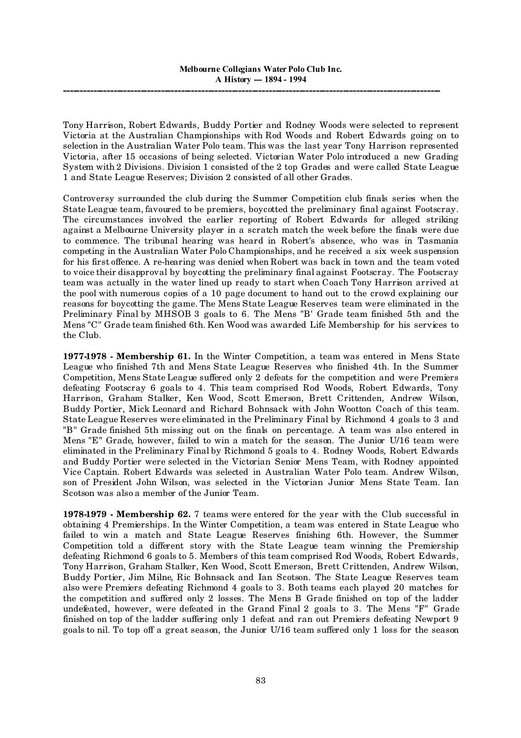Tony Harrison, Robert Edwards, Buddy Portier and Rodney Woods were selected to represent Victoria at the Australian Championships with Rod Woods and Robert Edwards going on to selection in the Australian Water Polo team. This was the last year Tony Harrison represented Victoria, after 15 occasions of being selected. Victorian Water Polo introduced a new Grading System with 2 Divisions. Division 1 consisted of the 2 top Grades and were called State League 1 and State League Reserves; Division 2 consisted of all other Grades.

Controversy surrounded the club during the Summer Competition club finals series when the State League team, favoured to be premiers, boycotted the preliminary final against Footscray. The circumstances involved the earlier reporting of Robert Edwards for alleged striking against a Melbourne University player in a scratch match the week before the finals were due to commence. The tribunal hearing was heard in Robert's absence, who was in Tasmania competing in the Australian Water Polo Championships, and he received a six week suspension for his first offence. A re-hearing was denied when Robert was back in town and the team voted to voice their disapproval by boycotting the preliminary final against Footscray. The Footscray team was actually in the water lined up ready to start when Coach Tony Harrison arrived at the pool with numerous copies of a 10 page document to hand out to the crowd explaining our reasons for boycotting the game. The Mens State League Reserves team were eliminated in the Preliminary Final by MHSOB 3 goals to 6. The Mens "B' Grade team finished 5th and the Mens "C" Grade team finished 6th. Ken Wood was awarded Life Membership for his services to the Club.

**1977-1978 - Membership 61.** In the Winter Competition, a team was entered in Mens State League who finished 7th and Mens State League Reserves who finished 4th. In the Summer Competition, Mens State League suffered only 2 defeats for the competition and were Premiers defeating Footscray 6 goals to 4. This team comprised Rod Woods, Robert Edwards, Tony Harrison, Graham Stalker, Ken Wood, Scott Emerson, Brett Crittenden, Andrew Wilson, Buddy Portier, Mick Leonard and Richard Bohnsack with John Wootton Coach of this team. State League Reserves were eliminated in the Preliminary Final by Richmond 4 goals to 3 and "B" Grade finished 5th missing out on the finals on percentage. A team was also entered in Mens "E" Grade, however, failed to win a match for the season. The Junior U/16 team were eliminated in the Preliminary Final by Richmond 5 goals to 4. Rodney Woods, Robert Edwards and Buddy Portier were selected in the Victorian Senior Mens Team, with Rodney appointed Vice Captain. Robert Edwards was selected in Australian Water Polo team. Andrew Wilson, son of President John Wilson, was selected in the Victorian Junior Mens State Team. Ian Scotson was also a member of the Junior Team.

**1978-1979 - Membership 62.** 7 teams were entered for the year with the Club successful in obtaining 4 Premierships. In the Winter Competition, a team was entered in State League who failed to win a match and State League Reserves finishing 6th. However, the Summer Competition told a different story with the State League team winning the Premiership defeating Richmond 6 goals to 5. Members of this team comprised Rod Woods, Robert Edwards, Tony Harrison, Graham Stalker, Ken Wood, Scott Emerson, Brett Crittenden, Andrew Wilson, Buddy Portier, Jim Milne, Ric Bohnsack and Ian Scotson. The State League Reserves team also were Premiers defeating Richmond 4 goals to 3. Both teams each played 20 matches for the competition and suffered only 2 losses. The Mens B Grade finished on top of the ladder undefeated, however, were defeated in the Grand Final 2 goals to 3. The Mens "F" Grade finished on top of the ladder suffering only 1 defeat and ran out Premiers defeating Newport 9 goals to nil. To top off a great season, the Junior U/16 team suffered only 1 loss for the season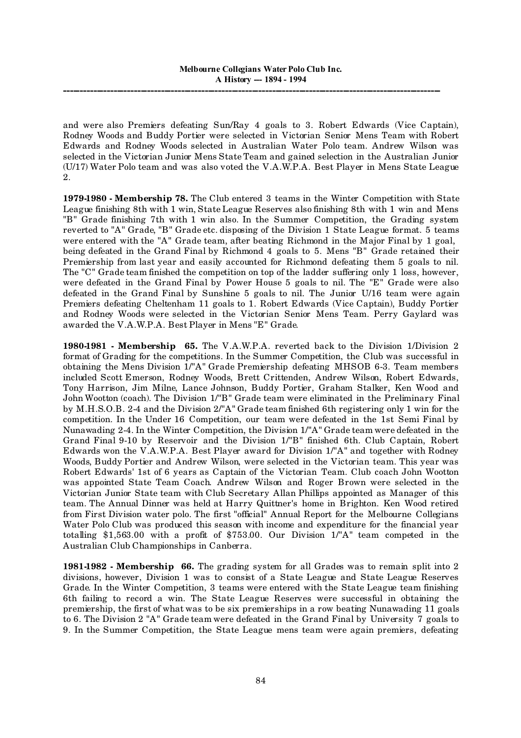and were also Premiers defeating Sun/Ray 4 goals to 3. Robert Edwards (Vice Captain), Rodney Woods and Buddy Portier were selected in Victorian Senior Mens Team with Robert Edwards and Rodney Woods selected in Australian Water Polo team. Andrew Wilson was selected in the Victorian Junior Mens State Team and gained selection in the Australian Junior (U/17) Water Polo team and was also voted the V.A.W.P.A. Best Player in Mens State League 2.

**1979-1980 - Membership 78.** The Club entered 3 teams in the Winter Competition with State League finishing 8th with 1 win, State League Reserves also finishing 8th with 1 win and Mens "B" Grade finishing 7th with 1 win also. In the Summer Competition, the Grading system reverted to "A" Grade, "B" Grade etc. disposing of the Division 1 State League format. 5 teams were entered with the "A" Grade team, after beating Richmond in the Major Final by 1 goal, being defeated in the Grand Final by Richmond 4 goals to 5. Mens "B" Grade retained their Premiership from last year and easily accounted for Richmond defeating them 5 goals to nil. The "C" Grade team finished the competition on top of the ladder suffering only 1 loss, however, were defeated in the Grand Final by Power House 5 goals to nil. The "E" Grade were also defeated in the Grand Final by Sunshine 5 goals to nil. The Junior U/16 team were again Premiers defeating Cheltenham 11 goals to 1. Robert Edwards (Vice Captain), Buddy Portier and Rodney Woods were selected in the Victorian Senior Mens Team. Perry Gaylard was awarded the V.A.W.P.A. Best Player in Mens "E" Grade.

**1980-1981 - Membership 65.** The V.A.W.P.A. reverted back to the Division 1/Division 2 format of Grading for the competitions. In the Summer Competition, the Club was successful in obtaining the Mens Division 1/"A" Grade Premiership defeating MHSOB 6-3. Team members included Scott Emerson, Rodney Woods, Brett Crittenden, Andrew Wilson, Robert Edwards, Tony Harrison, Jim Milne, Lance Johnson, Buddy Portier, Graham Stalker, Ken Wood and John Wootton (coach). The Division 1/"B" Grade team were eliminated in the Preliminary Final by M.H.S.O.B. 2-4 and the Division 2/"A" Grade team finished 6th registering only 1 win for the competition. In the Under 16 Competition, our team were defeated in the 1st Semi Final by Nunawading 2-4. In the Winter Competition, the Division 1/"A" Grade team were defeated in the Grand Final 9-10 by Reservoir and the Division 1/"B" finished 6th. Club Captain, Robert Edwards won the V.A.W.P.A. Best Player award for Division 1/"A" and together with Rodney Woods, Buddy Portier and Andrew Wilson, were selected in the Victorian team. This year was Robert Edwards' 1st of 6 years as Captain of the Victorian Team. Club coach John Wootton was appointed State Team Coach. Andrew Wilson and Roger Brown were selected in the Victorian Junior State team with Club Secretary Allan Phillips appointed as Manager of this team. The Annual Dinner was held at Harry Quittner's home in Brighton. Ken Wood retired from First Division water polo. The first "official" Annual Report for the Melbourne Collegians Water Polo Club was produced this season with income and expenditure for the financial year totalling \$1,563.00 with a profit of \$753.00. Our Division 1/"A" team competed in the Australian Club Championships in Canberra.

**1981-1982 - Membership 66.** The grading system for all Grades was to remain split into 2 divisions, however, Division 1 was to consist of a State League and State League Reserves Grade. In the Winter Competition, 3 teams were entered with the State League team finishing 6th failing to record a win. The State League Reserves were successful in obtaining the premiership, the first of what was to be six premierships in a row beating Nunawading 11 goals to 6. The Division 2 "A" Grade team were defeated in the Grand Final by University 7 goals to 9. In the Summer Competition, the State League mens team were again premiers, defeating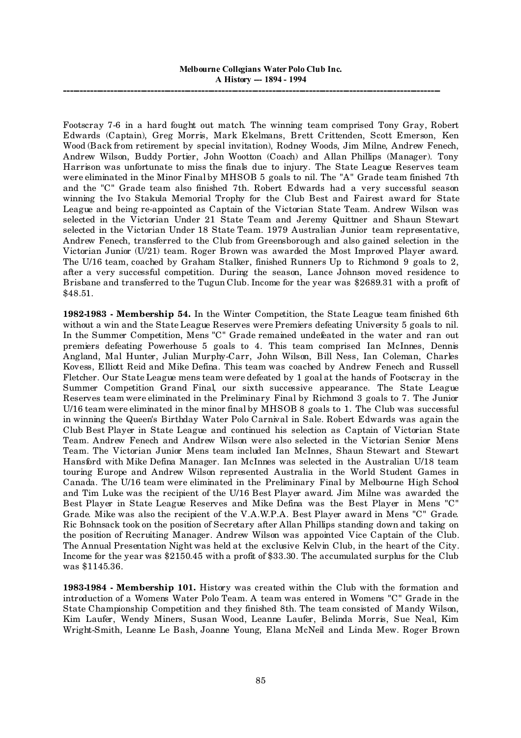Footscray 7-6 in a hard fought out match. The winning team comprised Tony Gray, Robert Edwards (Captain), Greg Morris, Mark Ekelmans, Brett Crittenden, Scott Emerson, Ken Wood (Back from retirement by special invitation), Rodney Woods, Jim Milne, Andrew Fenech, Andrew Wilson, Buddy Portier, John Wootton (Coach) and Allan Phillips (Manager). Tony Harrison was unfortunate to miss the finals due to injury. The State League Reserves team were eliminated in the Minor Final by MHSOB 5 goals to nil. The "A" Grade team finished 7th and the "C" Grade team also finished 7th. Robert Edwards had a very successful season winning the Ivo Stakula Memorial Trophy for the Club Best and Fairest award for State League and being re-appointed as Captain of the Victorian State Team. Andrew Wilson was selected in the Victorian Under 21 State Team and Jeremy Quittner and Shaun Stewart selected in the Victorian Under 18 State Team. 1979 Australian Junior team representative, Andrew Fenech, transferred to the Club from Greensborough and also gained selection in the Victorian Junior (U/21) team. Roger Brown was awarded the Most Improved Player award. The U/16 team, coached by Graham Stalker, finished Runners Up to Richmond 9 goals to 2, after a very successful competition. During the season, Lance Johnson moved residence to Brisbane and transferred to the Tugun Club. Income for the year was \$2689.31 with a profit of \$48.51.

**1982-1983 - Membership 54.** In the Winter Competition, the State League team finished 6th without a win and the State League Reserves were Premiers defeating University 5 goals to nil. In the Summer Competition, Mens "C" Grade remained undefeated in the water and ran out premiers defeating Powerhouse 5 goals to 4. This team comprised Ian McInnes, Dennis Angland, Mal Hunter, Julian Murphy-Carr, John Wilson, Bill Ness, Ian Coleman, Charles Kovess, Elliott Reid and Mike Defina. This team was coached by Andrew Fenech and Russell Fletcher. Our State League mens team were defeated by 1 goal at the hands of Footscray in the Summer Competition Grand Final, our sixth successive appearance. The State League Reserves team were eliminated in the Preliminary Final by Richmond 3 goals to 7. The Junior U/16 team were eliminated in the minor final by MHSOB 8 goals to 1. The Club was successful in winning the Queen's Birthday Water Polo Carnival in Sale. Robert Edwards was again the Club Best Player in State League and continued his selection as Captain of Victorian State Team. Andrew Fenech and Andrew Wilson were also selected in the Victorian Senior Mens Team. The Victorian Junior Mens team included Ian McInnes, Shaun Stewart and Stewart Hansford with Mike Defina Manager. Ian McInnes was selected in the Australian U/18 team touring Europe and Andrew Wilson represented Australia in the World Student Games in Canada. The U/16 team were eliminated in the Preliminary Final by Melbourne High School and Tim Luke was the recipient of the U/16 Best Player award. Jim Milne was awarded the Best Player in State League Reserves and Mike Defina was the Best Player in Mens "C" Grade. Mike was also the recipient of the V.A.W.P.A. Best Player award in Mens "C" Grade. Ric Bohnsack took on the position of Secretary after Allan Phillips standing down and taking on the position of Recruiting Manager. Andrew Wilson was appointed Vice Captain of the Club. The Annual Presentation Night was held at the exclusive Kelvin Club, in the heart of the City. Income for the year was \$2150.45 with a profit of \$33.30. The accumulated surplus for the Club was \$1145.36.

**1983-1984 - Membership 101.** History was created within the Club with the formation and introduction of a Womens Water Polo Team. A team was entered in Womens "C" Grade in the State Championship Competition and they finished 8th. The team consisted of Mandy Wilson, Kim Laufer, Wendy Miners, Susan Wood, Leanne Laufer, Belinda Morris, Sue Neal, Kim Wright-Smith, Leanne Le Bash, Joanne Young, Elana McNeil and Linda Mew. Roger Brown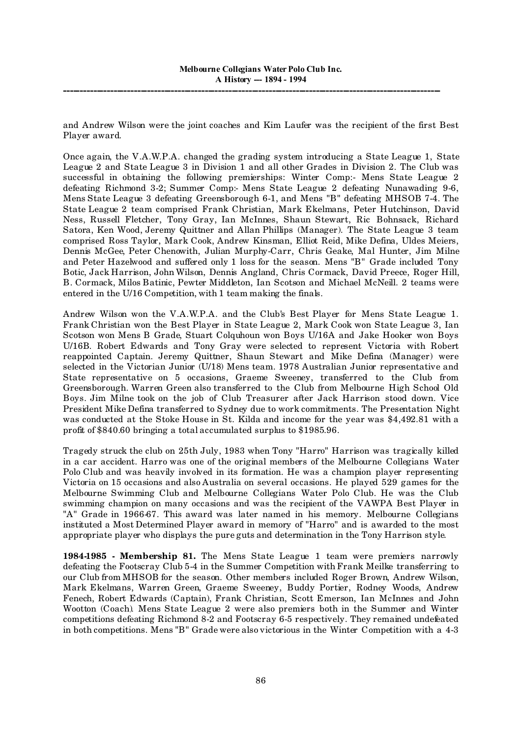and Andrew Wilson were the joint coaches and Kim Laufer was the recipient of the first Best Player award.

Once again, the V.A.W.P.A. changed the grading system introducing a State League 1, State League 2 and State League 3 in Division 1 and all other Grades in Division 2. The Club was successful in obtaining the following premierships: Winter Comp:- Mens State League 2 defeating Richmond 3-2; Summer Comp:- Mens State League 2 defeating Nunawading 9-6, Mens State League 3 defeating Greensborough 6-1, and Mens "B" defeating MHSOB 7-4. The State League 2 team comprised Frank Christian, Mark Ekelmans, Peter Hutchinson, David Ness, Russell Fletcher, Tony Gray, Ian McInnes, Shaun Stewart, Ric Bohnsack, Richard Satora, Ken Wood, Jeremy Quittner and Allan Phillips (Manager). The State League 3 team comprised Ross Taylor, Mark Cook, Andrew Kinsman, Elliot Reid, Mike Defina, Uldes Meiers, Dennis McGee, Peter Chenowith, Julian Murphy-Carr, Chris Geake, Mal Hunter, Jim Milne and Peter Hazelwood and suffered only 1 loss for the season. Mens "B" Grade included Tony Botic, Jack Harrison, John Wilson, Dennis Angland, Chris Cormack, David Preece, Roger Hill, B. Cormack, Milos Batinic, Pewter Middleton, Ian Scotson and Michael McNeill. 2 teams were entered in the U/16 Competition, with 1 team making the finals.

Andrew Wilson won the V.A.W.P.A. and the Club's Best Player for Mens State League 1. Frank Christian won the Best Player in State League 2, Mark Cook won State League 3, Ian Scotson won Mens B Grade, Stuart Colquhoun won Boys U/16A and Jake Hooker won Boys U/16B. Robert Edwards and Tony Gray were selected to represent Victoria with Robert reappointed Captain. Jeremy Quittner, Shaun Stewart and Mike Defina (Manager) were selected in the Victorian Junior (U/18) Mens team. 1978 Australian Junior representative and State representative on 5 occasions, Graeme Sweeney, transferred to the Club from Greensborough. Warren Green also transferred to the Club from Melbourne High School Old Boys. Jim Milne took on the job of Club Treasurer after Jack Harrison stood down. Vice President Mike Defina transferred to Sydney due to work commitments. The Presentation Night was conducted at the Stoke House in St. Kilda and income for the year was \$4,492.81 with a profit of \$840.60 bringing a total accumulated surplus to \$1985.96.

Tragedy struck the club on 25th July, 1983 when Tony "Harro" Harrison was tragically killed in a car accident. Harro was one of the original members of the Melbourne Collegians Water Polo Club and was heavily involved in its formation. He was a champion player representing Victoria on 15 occasions and also Australia on several occasions. He played 529 games for the Melbourne Swimming Club and Melbourne Collegians Water Polo Club. He was the Club swimming champion on many occasions and was the recipient of the VAWPA Best Player in "A" Grade in 1966-67. This award was later named in his memory. Melbourne Collegians instituted a Most Determined Player award in memory of "Harro" and is awarded to the most appropriate player who displays the pure guts and determination in the Tony Harrison style.

**1984-1985 - Membership 81.** The Mens State League 1 team were premiers narrowly defeating the Footscray Club 5-4 in the Summer Competition with Frank Meilke transferring to our Club from MHSOB for the season. Other members included Roger Brown, Andrew Wilson, Mark Ekelmans, Warren Green, Graeme Sweeney, Buddy Portier, Rodney Woods, Andrew Fenech, Robert Edwards (Captain), Frank Christian, Scott Emerson, Ian McInnes and John Wootton (Coach). Mens State League 2 were also premiers both in the Summer and Winter competitions defeating Richmond 8-2 and Footscray 6-5 respectively. They remained undefeated in both competitions. Mens "B" Grade were also victorious in the Winter Competition with a 4-3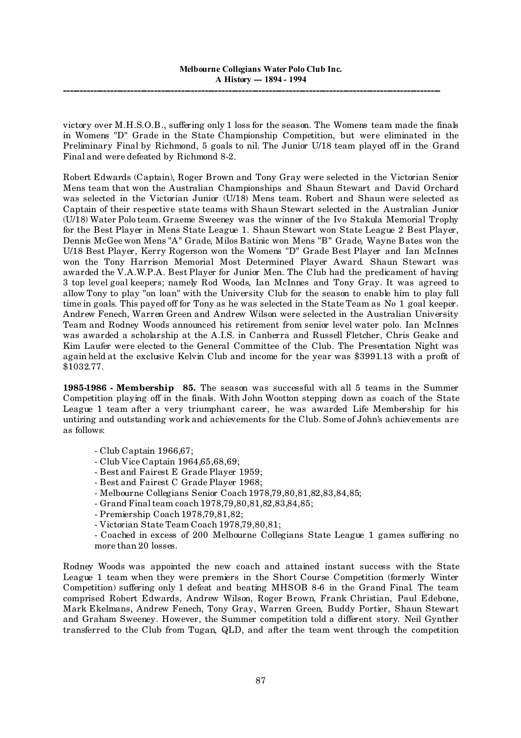victory over M.H.S.O.B., suffering only 1 loss for the season. The Womens team made the finals in Womens "D" Grade in the State Championship Competition, but were eliminated in the Preliminary Final by Richmond, 5 goals to nil. The Junior U/18 team played off in the Grand Final and were defeated by Richmond 8-2.

Robert Edwards (Captain), Roger Brown and Tony Gray were selected in the Victorian Senior Mens team that won the Australian Championships and Shaun Stewart and David Orchard was selected in the Victorian Junior (U/18) Mens team. Robert and Shaun were selected as Captain of their respective state teams with Shaun Stewart selected in the Australian Junior (U/18) Water Polo team. Graeme Sweeney was the winner of the Ivo Stakula Memorial Trophy for the Best Player in Mens State League 1. Shaun Stewart won State League 2 Best Player, Dennis McGee won Mens "A" Grade, Milos Batinic won Mens "B" Grade, Wayne Bates won the U/18 Best Player, Kerry Rogerson won the Womens "D" Grade Best Player and Ian McInnes won the Tony Harrison Memorial Most Determined Player Award. Shaun Stewart was awarded the V.A.W.P.A. Best Player for Junior Men. The Club had the predicament of having 3 top level goal keepers; namely Rod Woods, Ian McInnes and Tony Gray. It was agreed to allow Tony to play "on loan" with the University Club for the season to enable him to play full time in goals. This payed off for Tony as he was selected in the State Team as No 1 goal keeper. Andrew Fenech, Warren Green and Andrew Wilson were selected in the Australian University Team and Rodney Woods announced his retirement from senior level water polo. Ian McInnes was awarded a scholarship at the A.I.S. in Canberra and Russell Fletcher, Chris Geake and Kim Laufer were elected to the General Committee of the Club. The Presentation Night was again held at the exclusive Kelvin Club and income for the year was \$3991.13 with a profit of \$1032.77.

**1985-1986 - Membership 85.** The season was successful with all 5 teams in the Summer Competition playing off in the finals. With John Wootton stepping down as coach of the State League 1 team after a very triumphant career, he was awarded Life Membership for his untiring and outstanding work and achievements for the Club. Some of John's achievements are as follows:

- Club Captain 1966,67;
- Club Vice Captain 1964,65,68,69;
- Best and Fairest E Grade Player 1959;
- Best and Fairest C Grade Player 1968;
- Melbourne Collegians Senior Coach 1978,79,80,81,82,83,84,85;
- Grand Final team coach 1978, 79, 80, 81, 82, 83, 84, 85;
- Premiership Coach 1978,79,81,82;
- Victorian State Team Coach 1978,79,80,81;

- Coached in excess of 200 Melbourne Collegians State League 1 games suffering no more than 20 losses.

Rodney Woods was appointed the new coach and attained instant success with the State League 1 team when they were premiers in the Short Course Competition (formerly Winter Competition) suffering only 1 defeat and beating MHSOB 8-6 in the Grand Final. The team comprised Robert Edwards, Andrew Wilson, Roger Brown, Frank Christian, Paul Edebone, Mark Ekelmans, Andrew Fenech, Tony Gray, Warren Green, Buddy Portier, Shaun Stewart and Graham Sweeney. However, the Summer competition told a different story. Neil Gynther transferred to the Club from Tugan, QLD, and after the team went through the competition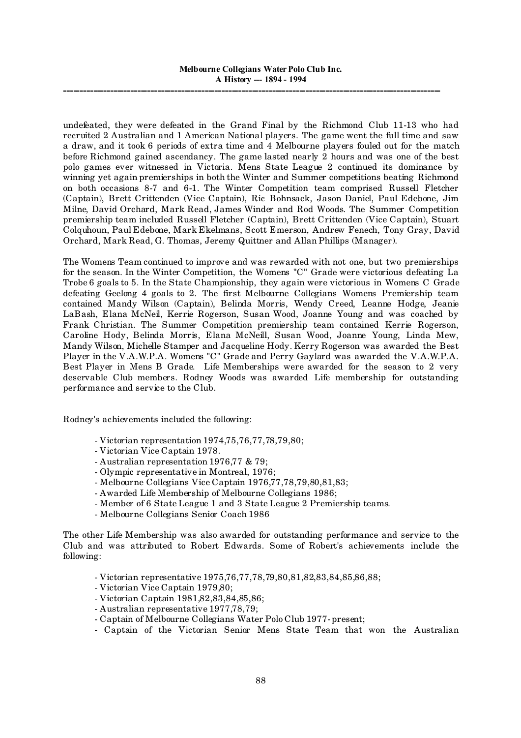undefeated, they were defeated in the Grand Final by the Richmond Club 11-13 who had recruited 2 Australian and 1 American National players. The game went the full time and saw a draw, and it took 6 periods of extra time and 4 Melbourne players fouled out for the match before Richmond gained ascendancy. The game lasted nearly 2 hours and was one of the best polo games ever witnessed in Victoria. Mens State League 2 continued its dominance by winning yet again premierships in both the Winter and Summer competitions beating Richmond on both occasions 8-7 and 6-1. The Winter Competition team comprised Russell Fletcher (Captain), Brett Crittenden (Vice Captain), Ric Bohnsack, Jason Daniel, Paul Edebone, Jim Milne, David Orchard, Mark Read, James Winder and Rod Woods. The Summer Competition premiership team included Russell Fletcher (Captain), Brett Crittenden (Vice Captain), Stuart Colquhoun, Paul Edebone, Mark Ekelmans, Scott Emerson, Andrew Fenech, Tony Gray, David Orchard, Mark Read, G. Thomas, Jeremy Quittner and Allan Phillips (Manager).

The Womens Team continued to improve and was rewarded with not one, but two premierships for the season. In the Winter Competition, the Womens "C" Grade were victorious defeating La Trobe 6 goals to 5. In the State Championship, they again were victorious in Womens C Grade defeating Geelong 4 goals to 2. The first Melbourne Collegians Womens Premiership team contained Mandy Wilson (Captain), Belinda Morris, Wendy Creed, Leanne Hodge, Jeanie LaBash, Elana McNeil, Kerrie Rogerson, Susan Wood, Joanne Young and was coached by Frank Christian. The Summer Competition premiership team contained Kerrie Rogerson, Caroline Hody, Belinda Morris, Elana McNeill, Susan Wood, Joanne Young, Linda Mew, Mandy Wilson, Michelle Stamper and Jacqueline Hody. Kerry Rogerson was awarded the Best Player in the V.A.W.P.A. Womens "C" Grade and Perry Gaylard was awarded the V.A.W.P.A. Best Player in Mens B Grade. Life Memberships were awarded for the season to 2 very deservable Club members. Rodney Woods was awarded Life membership for outstanding performance and service to the Club.

Rodney's achievements included the following:

- Victorian representation 1974,75,76,77,78,79,80;
- Victorian Vice Captain 1978.
- Australian representation 1976,77 & 79;
- Olympic representative in Montreal, 1976;
- Melbourne Collegians Vice Captain 1976,77,78,79,80,81,83;
- Awarded Life Membership of Melbourne Collegians 1986;
- Member of 6 State League 1 and 3 State League 2 Premiership teams.
- Melbourne Collegians Senior Coach 1986

The other Life Membership was also awarded for outstanding performance and service to the Club and was attributed to Robert Edwards. Some of Robert's achievements include the following:

- Victorian representative 1975,76,77,78,79,80,81,82,83,84,85,86,88;

- Victorian Vice Captain 1979,80;
- Victorian Captain 1981,82,83,84,85,86;
- Australian representative 1977,78,79;
- Captain of Melbourne Collegians Water Polo Club 1977- present;
- Captain of the Victorian Senior Mens State Team that won the Australian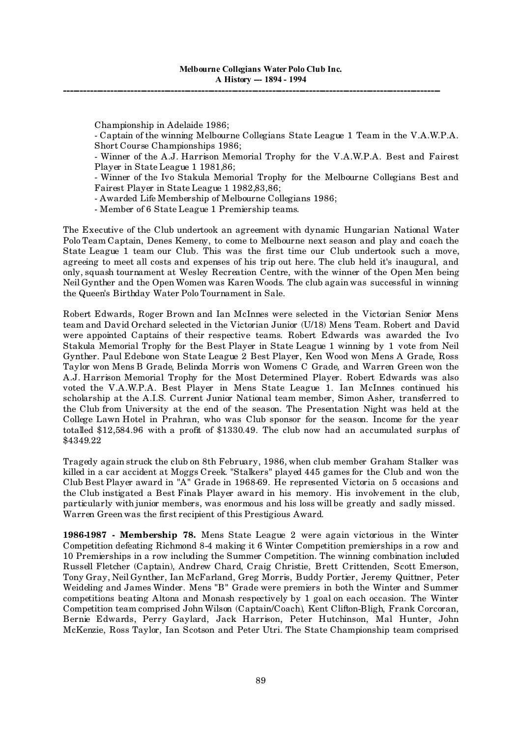Championship in Adelaide 1986;

- Captain of the winning Melbourne Collegians State League 1 Team in the V.A.W.P.A. Short Course Championships 1986;

- Winner of the A.J. Harrison Memorial Trophy for the V.A.W.P.A. Best and Fairest Player in State League 1 1981,86;

- Winner of the Ivo Stakula Memorial Trophy for the Melbourne Collegians Best and Fairest Player in State League 1 1982,83,86;

- Awarded Life Membership of Melbourne Collegians 1986;

- Member of 6 State League 1 Premiership teams.

The Executive of the Club undertook an agreement with dynamic Hungarian National Water Polo Team Captain, Denes Kemeny, to come to Melbourne next season and play and coach the State League 1 team our Club. This was the first time our Club undertook such a move, agreeing to meet all costs and expenses of his trip out here. The club held it's inaugural, and only, squash tournament at Wesley Recreation Centre, with the winner of the Open Men being Neil Gynther and the Open Women was Karen Woods. The club again was successful in winning the Queen's Birthday Water Polo Tournament in Sale.

Robert Edwards, Roger Brown and Ian McInnes were selected in the Victorian Senior Mens team and David Orchard selected in the Victorian Junior (U/18) Mens Team. Robert and David were appointed Captains of their respective teams. Robert Edwards was awarded the Ivo Stakula Memorial Trophy for the Best Player in State League 1 winning by 1 vote from Neil Gynther. Paul Edebone won State League 2 Best Player, Ken Wood won Mens A Grade, Ross Taylor won Mens B Grade, Belinda Morris won Womens C Grade, and Warren Green won the A.J. Harrison Memorial Trophy for the Most Determined Player. Robert Edwards was also voted the V.A.W.P.A. Best Player in Mens State League 1. Ian McInnes continued his scholarship at the A.I.S. Current Junior National team member, Simon Asher, transferred to the Club from University at the end of the season. The Presentation Night was held at the College Lawn Hotel in Prahran, who was Club sponsor for the season. Income for the year totalled \$12,584.96 with a profit of \$1330.49. The club now had an accumulated surplus of \$4349.22

Tragedy again struck the club on 8th February, 1986, when club member Graham Stalker was killed in a car accident at Moggs Creek. "Stalkers" played 445 games for the Club and won the Club Best Player award in "A" Grade in 1968-69. He represented Victoria on 5 occasions and the Club instigated a Best Finals Player award in his memory. His involvement in the club, particularly with junior members, was enormous and his loss will be greatly and sadly missed. Warren Green was the first recipient of this Prestigious Award.

**1986-1987 - Membership 78.** Mens State League 2 were again victorious in the Winter Competition defeating Richmond 8-4 making it 6 Winter Competition premierships in a row and 10 Premierships in a row including the Summer Competition. The winning combination included Russell Fletcher (Captain), Andrew Chard, Craig Christie, Brett Crittenden, Scott Emerson, Tony Gray, Neil Gynther, Ian McFarland, Greg Morris, Buddy Portier, Jeremy Quittner, Peter Weideling and James Winder. Mens "B" Grade were premiers in both the Winter and Summer competitions beating Altona and Monash respectively by 1 goal on each occasion. The Winter Competition team comprised John Wilson (Captain/Coach), Kent Clifton-Bligh, Frank Corcoran, Bernie Edwards, Perry Gaylard, Jack Harrison, Peter Hutchinson, Mal Hunter, John McKenzie, Ross Taylor, Ian Scotson and Peter Utri. The State Championship team comprised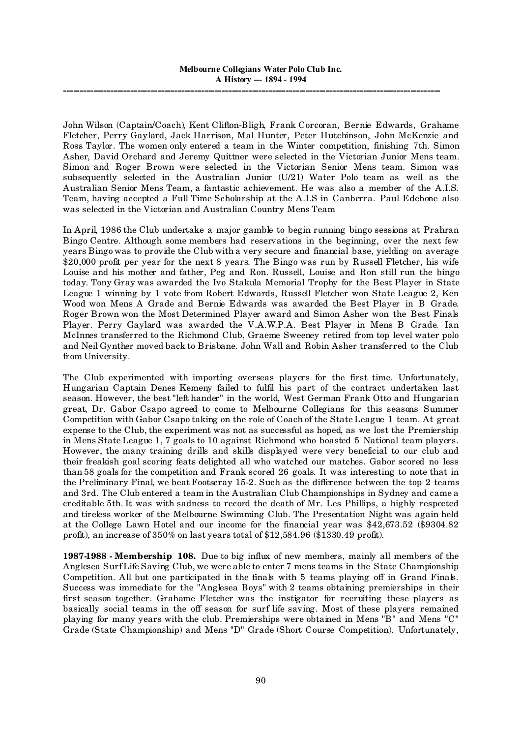John Wilson (Captain/Coach), Kent Clifton-Bligh, Frank Corcoran, Bernie Edwards, Grahame Fletcher, Perry Gaylard, Jack Harrison, Mal Hunter, Peter Hutchinson, John McKenzie and Ross Taylor. The women only entered a team in the Winter competition, finishing 7th. Simon Asher, David Orchard and Jeremy Quittner were selected in the Victorian Junior Mens team. Simon and Roger Brown were selected in the Victorian Senior Mens team. Simon was subsequently selected in the Australian Junior (U/21) Water Polo team as well as the Australian Senior Mens Team, a fantastic achievement. He was also a member of the A.I.S. Team, having accepted a Full Time Scholarship at the A.I.S in Canberra. Paul Edebone also was selected in the Victorian and Australian Country Mens Team

In April, 1986 the Club undertake a major gamble to begin running bingo sessions at Prahran Bingo Centre. Although some members had reservations in the beginning, over the next few years Bingo was to provide the Club with a very secure and financial base, yielding on average \$20,000 profit per year for the next 8 years. The Bingo was run by Russell Fletcher, his wife Louise and his mother and father, Peg and Ron. Russell, Louise and Ron still run the bingo today. Tony Gray was awarded the Ivo Stakula Memorial Trophy for the Best Player in State League 1 winning by 1 vote from Robert Edwards, Russell Fletcher won State League 2, Ken Wood won Mens A Grade and Bernie Edwards was awarded the Best Player in B Grade. Roger Brown won the Most Determined Player award and Simon Asher won the Best Finals Player. Perry Gaylard was awarded the V.A.W.P.A. Best Player in Mens B Grade. Ian McInnes transferred to the Richmond Club, Graeme Sweeney retired from top level water polo and Neil Gynther moved back to Brisbane. John Wall and Robin Asher transferred to the Club from University.

The Club experimented with importing overseas players for the first time. Unfortunately, Hungarian Captain Denes Kemeny failed to fulfil his part of the contract undertaken last season. However, the best "left hander" in the world, West German Frank Otto and Hungarian great, Dr. Gabor Csapo agreed to come to Melbourne Collegians for this seasons Summer Competition with Gabor Csapo taking on the role of Coach of the State League 1 team. At great expense to the Club, the experiment was not as successful as hoped, as we lost the Premiership in Mens State League 1, 7 goals to 10 against Richmond who boasted 5 National team players. However, the many training drills and skills displayed were very beneficial to our club and their freakish goal scoring feats delighted all who watched our matches. Gabor scored no less than 58 goals for the competition and Frank scored 26 goals. It was interesting to note that in the Preliminary Final, we beat Footscray 15-2. Such as the difference between the top 2 teams and 3rd. The Club entered a team in the Australian Club Championships in Sydney and came a creditable 5th. It was with sadness to record the death of Mr. Les Phillips, a highly respected and tireless worker of the Melbourne Swimming Club. The Presentation Night was again held at the College Lawn Hotel and our income for the financial year was \$42,673.52 (\$9304.82 profit), an increase of 350% on last years total of \$12,584.96 (\$1330.49 profit).

**1987-1988 - Membership 108.** Due to big influx of new members, mainly all members of the Anglesea Surf Life Saving Club, we were able to enter 7 mens teams in the State Championship Competition. All but one participated in the finals with 5 teams playing off in Grand Finals. Success was immediate for the "Anglesea Boys" with 2 teams obtaining premierships in their first season together. Grahame Fletcher was the instigator for recruiting these players as basically social teams in the off season for surf life saving. Most of these players remained playing for many years with the club. Premierships were obtained in Mens "B" and Mens "C" Grade (State Championship) and Mens "D" Grade (Short Course Competition). Unfortunately,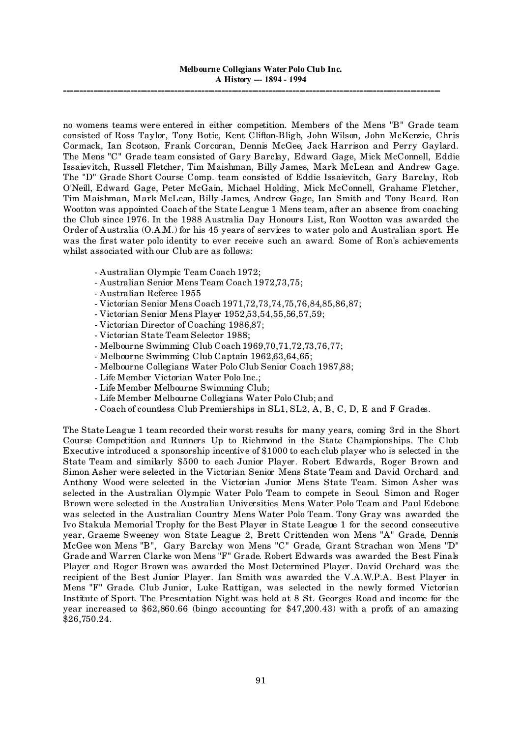no womens teams were entered in either competition. Members of the Mens "B" Grade team consisted of Ross Taylor, Tony Botic, Kent Clifton-Bligh, John Wilson, John McKenzie, Chris Cormack, Ian Scotson, Frank Corcoran, Dennis McGee, Jack Harrison and Perry Gaylard. The Mens "C" Grade team consisted of Gary Barclay, Edward Gage, Mick McConnell, Eddie Issaievitch, Russell Fletcher, Tim Maishman, Billy James, Mark McLean and Andrew Gage. The "D" Grade Short Course Comp. team consisted of Eddie Issaievitch, Gary Barclay, Rob O'Neill, Edward Gage, Peter McGain, Michael Holding, Mick McConnell, Grahame Fletcher, Tim Maishman, Mark McLean, Billy James, Andrew Gage, Ian Smith and Tony Beard. Ron Wootton was appointed Coach of the State League 1 Mens team, after an absence from coaching the Club since 1976. In the 1988 Australia Day Honours List, Ron Wootton was awarded the Order of Australia (O.A.M.) for his 45 years of services to water polo and Australian sport. He was the first water polo identity to ever receive such an award. Some of Ron's achievements whilst associated with our Club are as follows:

- Australian Olympic Team Coach 1972;
- Australian Senior Mens Team Coach 1972,73,75;
- Australian Referee 1955
- Victorian Senior Mens Coach 1971,72,73,74,75,76,84,85,86,87;
- Victorian Senior Mens Player 1952,53,54,55,56,57,59;
- Victorian Director of Coaching 1986,87;
- Victorian State Team Selector 1988;
- Melbourne Swimming Club Coach 1969,70,71,72,73,76,77;
- Melbourne Swimming Club Captain 1962,63,64,65;
- Melbourne Collegians Water Polo Club Senior Coach 1987,88;
- Life Member Victorian Water Polo Inc.;
- Life Member Melbourne Swimming Club;
- Life Member Melbourne Collegians Water Polo Club; and
- Coach of countless Club Premierships in SL1, SL2, A, B, C, D, E and F Grades.

The State League 1 team recorded their worst results for many years, coming 3rd in the Short Course Competition and Runners Up to Richmond in the State Championships. The Club Executive introduced a sponsorship incentive of \$1000 to each club player who is selected in the State Team and similarly \$500 to each Junior Player. Robert Edwards, Roger Brown and Simon Asher were selected in the Victorian Senior Mens State Team and David Orchard and Anthony Wood were selected in the Victorian Junior Mens State Team. Simon Asher was selected in the Australian Olympic Water Polo Team to compete in Seoul. Simon and Roger Brown were selected in the Australian Universities Mens Water Polo Team and Paul Edebone was selected in the Australian Country Mens Water Polo Team. Tony Gray was awarded the Ivo Stakula Memorial Trophy for the Best Player in State League 1 for the second consecutive year, Graeme Sweeney won State League 2, Brett Crittenden won Mens "A" Grade, Dennis McGee won Mens "B", Gary Barclay won Mens "C" Grade, Grant Strachan won Mens "D" Grade and Warren Clarke won Mens "F" Grade. Robert Edwards was awarded the Best Finals Player and Roger Brown was awarded the Most Determined Player. David Orchard was the recipient of the Best Junior Player. Ian Smith was awarded the V.A.W.P.A. Best Player in Mens "F" Grade. Club Junior, Luke Rattigan, was selected in the newly formed Victorian Institute of Sport. The Presentation Night was held at 8 St. Georges Road and income for the year increased to \$62,860.66 (bingo accounting for \$47,200.43) with a profit of an amazing \$26,750.24.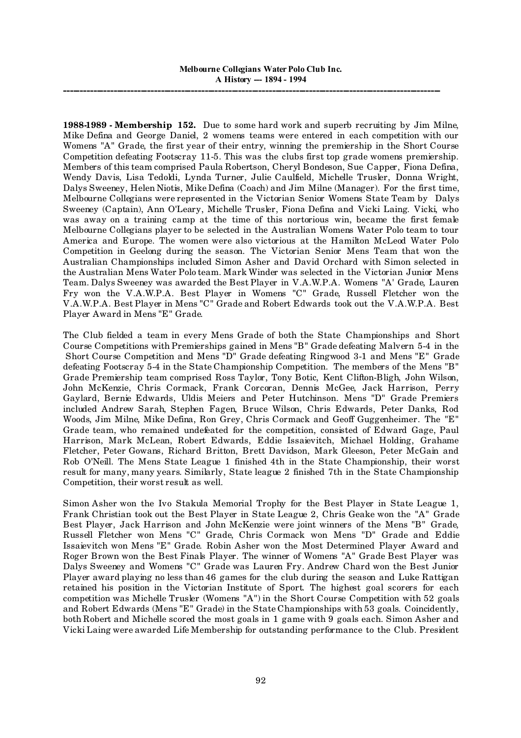**1988-1989 - Membership 152.** Due to some hard work and superb recruiting by Jim Milne, Mike Defina and George Daniel, 2 womens teams were entered in each competition with our Womens "A" Grade, the first year of their entry, winning the premiership in the Short Course Competition defeating Footscray 11-5. This was the clubs first top grade womens premiership. Members of this team comprised Paula Robertson, Cheryl Bondeson, Sue Capper, Fiona Defina, Wendy Davis, Lisa Tedoldi, Lynda Turner, Julie Caulfield, Michelle Trusler, Donna Wright, Dalys Sweeney, Helen Niotis, Mike Defina (Coach) and Jim Milne (Manager). For the first time, Melbourne Collegians were represented in the Victorian Senior Womens State Team by Dalys Sweeney (Captain), Ann O'Leary, Michelle Trusler, Fiona Defina and Vicki Laing. Vicki, who was away on a training camp at the time of this nortorious win, became the first female Melbourne Collegians player to be selected in the Australian Womens Water Polo team to tour America and Europe. The women were also victorious at the Hamilton McLeod Water Polo Competition in Geelong during the season. The Victorian Senior Mens Team that won the Australian Championships included Simon Asher and David Orchard with Simon selected in the Australian Mens Water Polo team. Mark Winder was selected in the Victorian Junior Mens Team. Dalys Sweeney was awarded the Best Player in V.A.W.P.A. Womens "A' Grade, Lauren Fry won the V.A.W.P.A. Best Player in Womens "C" Grade, Russell Fletcher won the V.A.W.P.A. Best Player in Mens "C" Grade and Robert Edwards took out the V.A.W.P.A. Best Player Award in Mens "E" Grade.

The Club fielded a team in every Mens Grade of both the State Championships and Short Course Competitions with Premierships gained in Mens "B" Grade defeating Malvern 5-4 in the Short Course Competition and Mens "D" Grade defeating Ringwood 3-1 and Mens "E" Grade defeating Footscray 5-4 in the State Championship Competition. The members of the Mens "B" Grade Premiership team comprised Ross Taylor, Tony Botic, Kent Clifton-Bligh, John Wilson, John McKenzie, Chris Cormack, Frank Corcoran, Dennis McGee, Jack Harrison, Perry Gaylard, Bernie Edwards, Uldis Meiers and Peter Hutchinson. Mens "D" Grade Premiers included Andrew Sarah, Stephen Fagen, Bruce Wilson, Chris Edwards, Peter Danks, Rod Woods, Jim Milne, Mike Defina, Ron Grey, Chris Cormack and Geoff Guggenheimer. The "E" Grade team, who remained undefeated for the competition, consisted of Edward Gage, Paul Harrison, Mark McLean, Robert Edwards, Eddie Issaievitch, Michael Holding, Grahame Fletcher, Peter Gowans, Richard Britton, Brett Davidson, Mark Gleeson, Peter McGain and Rob O'Neill. The Mens State League 1 finished 4th in the State Championship, their worst result for many, many years. Similarly, State league 2 finished 7th in the State Championship Competition, their worst result as well.

Simon Asher won the Ivo Stakula Memorial Trophy for the Best Player in State League 1, Frank Christian took out the Best Player in State League 2, Chris Geake won the "A" Grade Best Player, Jack Harrison and John McKenzie were joint winners of the Mens "B" Grade, Russell Fletcher won Mens "C" Grade, Chris Cormack won Mens "D" Grade and Eddie Issaievitch won Mens "E" Grade. Robin Asher won the Most Determined Player Award and Roger Brown won the Best Finals Player. The winner of Womens "A" Grade Best Player was Dalys Sweeney and Womens "C" Grade was Lauren Fry. Andrew Chard won the Best Junior Player award playing no less than 46 games for the club during the season and Luke Rattigan retained his position in the Victorian Institute of Sport. The highest goal scorers for each competition was Michelle Trusler (Womens "A") in the Short Course Competition with 52 goals and Robert Edwards (Mens "E" Grade) in the State Championships with 53 goals. Coincidently, both Robert and Michelle scored the most goals in 1 game with 9 goals each. Simon Asher and Vicki Laing were awarded Life Membership for outstanding performance to the Club. President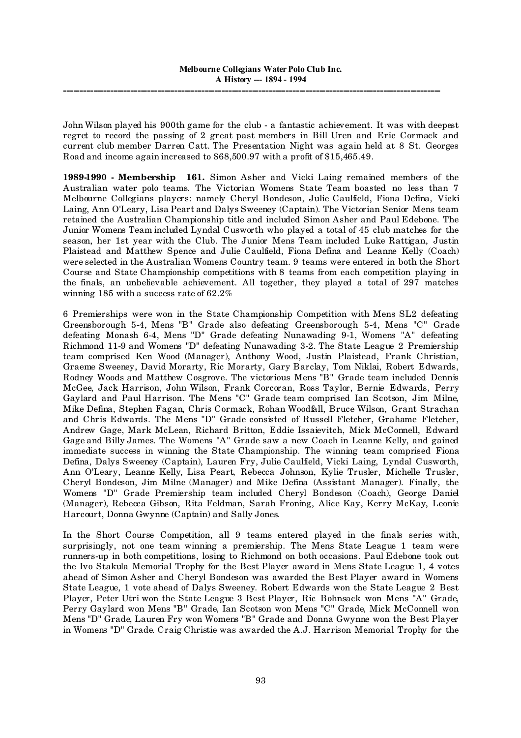John Wilson played his 900th game for the club - a fantastic achievement. It was with deepest regret to record the passing of 2 great past members in Bill Uren and Eric Cormack and current club member Darren Catt. The Presentation Night was again held at 8 St. Georges Road and income again increased to \$68,500.97 with a profit of \$15,465.49.

**1989-1990 - Membership 161.** Simon Asher and Vicki Laing remained members of the Australian water polo teams. The Victorian Womens State Team boasted no less than 7 Melbourne Collegians players: namely Cheryl Bondeson, Julie Caulfield, Fiona Defina, Vicki Laing, Ann O'Leary, Lisa Peart and Dalys Sweeney (Captain). The Victorian Senior Mens team retained the Australian Championship title and included Simon Asher and Paul Edebone. The Junior Womens Team included Lyndal Cusworth who played a total of 45 club matches for the season, her 1st year with the Club. The Junior Mens Team included Luke Rattigan, Justin Plaistead and Matthew Spence and Julie Caulfield, Fiona Defina and Leanne Kelly (Coach) were selected in the Australian Womens Country team. 9 teams were entered in both the Short Course and State Championship competitions with 8 teams from each competition playing in the finals, an unbelievable achievement. All together, they played a total of 297 matches winning 185 with a success rate of 62.2%

6 Premierships were won in the State Championship Competition with Mens SL2 defeating Greensborough 5-4, Mens "B" Grade also defeating Greensborough 5-4, Mens "C" Grade defeating Monash 6-4, Mens "D" Grade defeating Nunawading 9-1, Womens "A" defeating Richmond 11-9 and Womens "D" defeating Nunawading 3-2. The State League 2 Premiership team comprised Ken Wood (Manager), Anthony Wood, Justin Plaistead, Frank Christian, Graeme Sweeney, David Morarty, Ric Morarty, Gary Barclay, Tom Niklai, Robert Edwards, Rodney Woods and Matthew Cosgrove. The victorious Mens "B" Grade team included Dennis McGee, Jack Harrison, John Wilson, Frank Corcoran, Ross Taylor, Bernie Edwards, Perry Gaylard and Paul Harrison. The Mens "C" Grade team comprised Ian Scotson, Jim Milne, Mike Defina, Stephen Fagan, Chris Cormack, Rohan Woodfall, Bruce Wilson, Grant Strachan and Chris Edwards. The Mens "D" Grade consisted of Russell Fletcher, Grahame Fletcher, Andrew Gage, Mark McLean, Richard Britton, Eddie Issaievitch, Mick McConnell, Edward Gage and Billy James. The Womens "A" Grade saw a new Coach in Leanne Kelly, and gained immediate success in winning the State Championship. The winning team comprised Fiona Defina, Dalys Sweeney (Captain), Lauren Fry, Julie Caulfield, Vicki Laing, Lyndal Cusworth, Ann O'Leary, Leanne Kelly, Lisa Peart, Rebecca Johnson, Kylie Trusler, Michelle Trusler, Cheryl Bondeson, Jim Milne (Manager) and Mike Defina (Assistant Manager). Finally, the Womens "D" Grade Premiership team included Cheryl Bondeson (Coach), George Daniel (Manager), Rebecca Gibson, Rita Feldman, Sarah Froning, Alice Kay, Kerry McKay, Leonie Harcourt, Donna Gwynne (Captain) and Sally Jones.

In the Short Course Competition, all 9 teams entered played in the finals series with, surprisingly, not one team winning a premiership. The Mens State League 1 team were runners-up in both competitions, losing to Richmond on both occasions. Paul Edebone took out the Ivo Stakula Memorial Trophy for the Best Player award in Mens State League 1, 4 votes ahead of Simon Asher and Cheryl Bondeson was awarded the Best Player award in Womens State League, 1 vote ahead of Dalys Sweeney. Robert Edwards won the State League 2 Best Player, Peter Utri won the State League 3 Best Player, Ric Bohnsack won Mens "A" Grade, Perry Gaylard won Mens "B" Grade, Ian Scotson won Mens "C" Grade, Mick McConnell won Mens "D" Grade, Lauren Fry won Womens "B" Grade and Donna Gwynne won the Best Player in Womens "D" Grade. Craig Christie was awarded the A.J. Harrison Memorial Trophy for the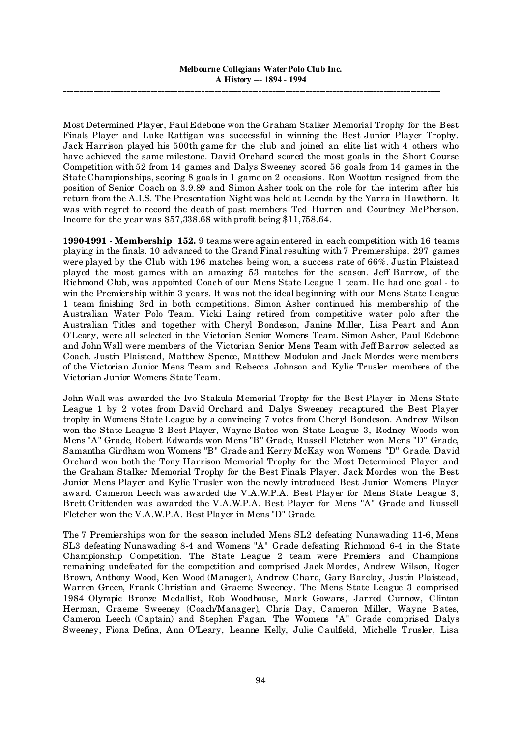Most Determined Player, Paul Edebone won the Graham Stalker Memorial Trophy for the Best Finals Player and Luke Rattigan was successful in winning the Best Junior Player Trophy. Jack Harrison played his 500th game for the club and joined an elite list with 4 others who have achieved the same milestone. David Orchard scored the most goals in the Short Course Competition with 52 from 14 games and Dalys Sweeney scored 56 goals from 14 games in the State Championships, scoring 8 goals in 1 game on 2 occasions. Ron Wootton resigned from the position of Senior Coach on 3.9.89 and Simon Asher took on the role for the interim after his return from the A.I.S. The Presentation Night was held at Leonda by the Yarra in Hawthorn. It was with regret to record the death of past members Ted Hurren and Courtney McPherson. Income for the year was \$57,338.68 with profit being \$11,758.64.

**1990-1991 - Membership 152.** 9 teams were again entered in each competition with 16 teams playing in the finals. 10 advanced to the Grand Final resulting with 7 Premierships. 297 games were played by the Club with 196 matches being won, a success rate of 66%. Justin Plaistead played the most games with an amazing 53 matches for the season. Jeff Barrow, of the Richmond Club, was appointed Coach of our Mens State League 1 team. He had one goal - to win the Premiership within 3 years. It was not the ideal beginning with our Mens State League 1 team finishing 3rd in both competitions. Simon Asher continued his membership of the Australian Water Polo Team. Vicki Laing retired from competitive water polo after the Australian Titles and together with Cheryl Bondeson, Janine Miller, Lisa Peart and Ann O'Leary, were all selected in the Victorian Senior Womens Team. Simon Asher, Paul Edebone and John Wall were members of the Victorian Senior Mens Team with Jeff Barrow selected as Coach. Justin Plaistead, Matthew Spence, Matthew Modulon and Jack Mordes were members of the Victorian Junior Mens Team and Rebecca Johnson and Kylie Trusler members of the Victorian Junior Womens State Team.

John Wall was awarded the Ivo Stakula Memorial Trophy for the Best Player in Mens State League 1 by 2 votes from David Orchard and Dalys Sweeney recaptured the Best Player trophy in Womens State League by a convincing 7 votes from Cheryl Bondeson. Andrew Wilson won the State League 2 Best Player, Wayne Bates won State League 3, Rodney Woods won Mens "A" Grade, Robert Edwards won Mens "B" Grade, Russell Fletcher won Mens "D" Grade, Samantha Girdham won Womens "B" Grade and Kerry McKay won Womens "D" Grade. David Orchard won both the Tony Harrison Memorial Trophy for the Most Determined Player and the Graham Stalker Memorial Trophy for the Best Finals Player. Jack Mordes won the Best Junior Mens Player and Kylie Trusler won the newly introduced Best Junior Womens Player award. Cameron Leech was awarded the V.A.W.P.A. Best Player for Mens State League 3, Brett Crittenden was awarded the V.A.W.P.A. Best Player for Mens "A" Grade and Russell Fletcher won the V.A.W.P.A. Best Player in Mens "D" Grade.

The 7 Premierships won for the season included Mens SL2 defeating Nunawading 11-6, Mens SL3 defeating Nunawading 8-4 and Womens "A" Grade defeating Richmond 6-4 in the State Championship Competition. The State League 2 team were Premiers and Champions remaining undefeated for the competition and comprised Jack Mordes, Andrew Wilson, Roger Brown, Anthony Wood, Ken Wood (Manager), Andrew Chard, Gary Barclay, Justin Plaistead, Warren Green, Frank Christian and Graeme Sweeney. The Mens State League 3 comprised 1984 Olympic Bronze Medallist, Rob Woodhouse, Mark Gowans, Jarrod Curnow, Clinton Herman, Graeme Sweeney (Coach/Manager), Chris Day, Cameron Miller, Wayne Bates, Cameron Leech (Captain) and Stephen Fagan. The Womens "A" Grade comprised Dalys Sweeney, Fiona Defina, Ann O'Leary, Leanne Kelly, Julie Caulfield, Michelle Trusler, Lisa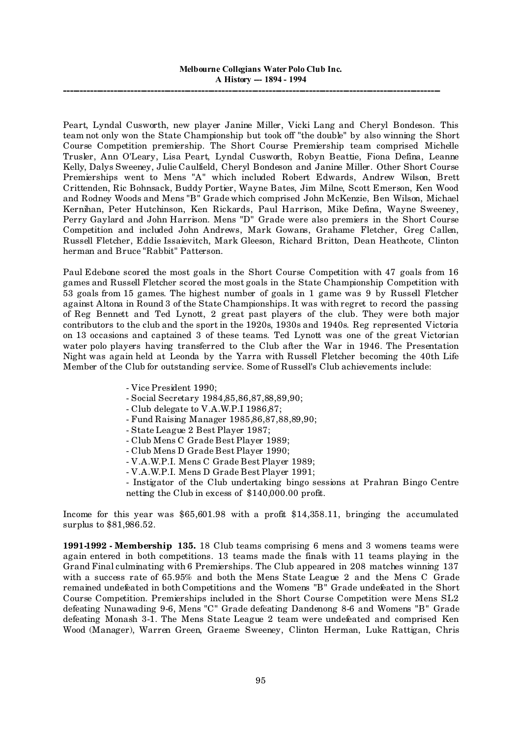Peart, Lyndal Cusworth, new player Janine Miller, Vicki Lang and Cheryl Bondeson. This team not only won the State Championship but took off "the double" by also winning the Short Course Competition premiership. The Short Course Premiership team comprised Michelle Trusler, Ann O'Leary, Lisa Peart, Lyndal Cusworth, Robyn Beattie, Fiona Defina, Leanne Kelly, Dalys Sweeney, Julie Caulfield, Cheryl Bondeson and Janine Miller. Other Short Course Premierships went to Mens "A" which included Robert Edwards, Andrew Wilson, Brett Crittenden, Ric Bohnsack, Buddy Portier, Wayne Bates, Jim Milne, Scott Emerson, Ken Wood and Rodney Woods and Mens "B" Grade which comprised John McKenzie, Ben Wilson, Michael Kernihan, Peter Hutchinson, Ken Rickards, Paul Harrison, Mike Defina, Wayne Sweeney, Perry Gaylard and John Harrison. Mens "D" Grade were also premiers in the Short Course Competition and included John Andrews, Mark Gowans, Grahame Fletcher, Greg Callen, Russell Fletcher, Eddie Issaievitch, Mark Gleeson, Richard Britton, Dean Heathcote, Clinton herman and Bruce "Rabbit" Patterson.

Paul Edebone scored the most goals in the Short Course Competition with 47 goals from 16 games and Russell Fletcher scored the most goals in the State Championship Competition with 53 goals from 15 games. The highest number of goals in 1 game was 9 by Russell Fletcher against Altona in Round 3 of the State Championships. It was with regret to record the passing of Reg Bennett and Ted Lynott, 2 great past players of the club. They were both major contributors to the club and the sport in the 1920s, 1930s and 1940s. Reg represented Victoria on 13 occasions and captained 3 of these teams. Ted Lynott was one of the great Victorian water polo players having transferred to the Club after the War in 1946. The Presentation Night was again held at Leonda by the Yarra with Russell Fletcher becoming the 40th Life Member of the Club for outstanding service. Some of Russell's Club achievements include:

- Vice President 1990;
- Social Secretary 1984,85,86,87,88,89,90;
- Club delegate to V.A.W.P.I 1986,87;
- Fund Raising Manager 1985,86,87,88,89,90;
- State League 2 Best Player 1987;
- Club Mens C Grade Best Player 1989;
- Club Mens D Grade Best Player 1990;
- V.A.W.P.I. Mens C Grade Best Player 1989;
- V.A.W.P.I. Mens D Grade Best Player 1991;
- Instigator of the Club undertaking bingo sessions at Prahran Bingo Centre netting the Club in excess of \$140,000.00 profit.

Income for this year was \$65,601.98 with a profit \$14,358.11, bringing the accumulated surplus to \$81,986.52.

**1991-1992 - Membership 135.** 18 Club teams comprising 6 mens and 3 womens teams were again entered in both competitions. 13 teams made the finals with 11 teams playing in the Grand Final culminating with 6 Premierships. The Club appeared in 208 matches winning 137 with a success rate of 65.95% and both the Mens State League 2 and the Mens C Grade remained undefeated in both Competitions and the Womens "B" Grade undefeated in the Short Course Competition. Premierships included in the Short Course Competition were Mens SL2 defeating Nunawading 9-6, Mens "C" Grade defeating Dandenong 8-6 and Womens "B" Grade defeating Monash 3-1. The Mens State League 2 team were undefeated and comprised Ken Wood (Manager), Warren Green, Graeme Sweeney, Clinton Herman, Luke Rattigan, Chris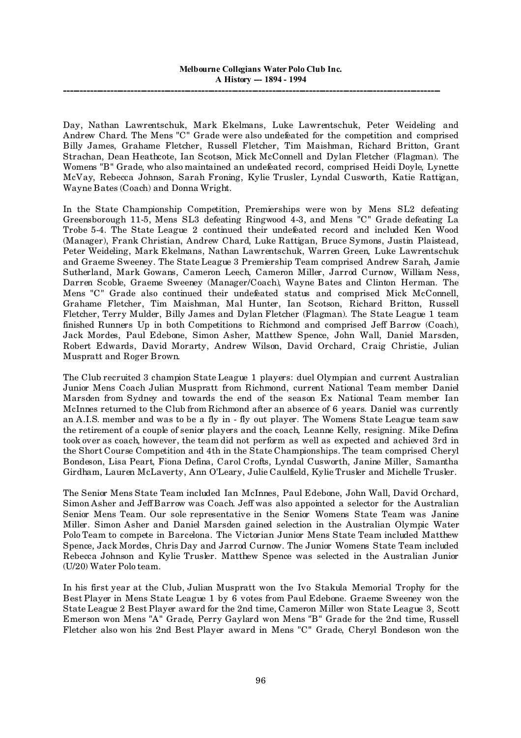Day, Nathan Lawrentschuk, Mark Ekelmans, Luke Lawrentschuk, Peter Weideling and Andrew Chard. The Mens "C" Grade were also undefeated for the competition and comprised Billy James, Grahame Fletcher, Russell Fletcher, Tim Maishman, Richard Britton, Grant Strachan, Dean Heathcote, Ian Scotson, Mick McConnell and Dylan Fletcher (Flagman). The Womens "B" Grade, who also maintained an undefeated record, comprised Heidi Doyle, Lynette McVay, Rebecca Johnson, Sarah Froning, Kylie Trusler, Lyndal Cusworth, Katie Rattigan, Wayne Bates (Coach) and Donna Wright.

In the State Championship Competition, Premierships were won by Mens SL2 defeating Greensborough 11-5, Mens SL3 defeating Ringwood 4-3, and Mens "C" Grade defeating La Trobe 5-4. The State League 2 continued their undefeated record and included Ken Wood (Manager), Frank Christian, Andrew Chard, Luke Rattigan, Bruce Symons, Justin Plaistead, Peter Weideling, Mark Ekelmans, Nathan Lawrentschuk, Warren Green, Luke Lawrentschuk and Graeme Sweeney. The State League 3 Premiership Team comprised Andrew Sarah, Jamie Sutherland, Mark Gowans, Cameron Leech, Cameron Miller, Jarrod Curnow, William Ness, Darren Scoble, Graeme Sweeney (Manager/Coach), Wayne Bates and Clinton Herman. The Mens "C" Grade also continued their undefeated status and comprised Mick McConnell, Grahame Fletcher, Tim Maishman, Mal Hunter, Ian Scotson, Richard Britton, Russell Fletcher, Terry Mulder, Billy James and Dylan Fletcher (Flagman). The State League 1 team finished Runners Up in both Competitions to Richmond and comprised Jeff Barrow (Coach), Jack Mordes, Paul Edebone, Simon Asher, Matthew Spence, John Wall, Daniel Marsden, Robert Edwards, David Morarty, Andrew Wilson, David Orchard, Craig Christie, Julian Muspratt and Roger Brown.

The Club recruited 3 champion State League 1 players: duel Olympian and current Australian Junior Mens Coach Julian Muspratt from Richmond, current National Team member Daniel Marsden from Sydney and towards the end of the season Ex National Team member Ian McInnes returned to the Club from Richmond after an absence of 6 years. Daniel was currently an A.I.S. member and was to be a fly in - fly out player. The Womens State League team saw the retirement of a couple of senior players and the coach, Leanne Kelly, resigning. Mike Defina took over as coach, however, the team did not perform as well as expected and achieved 3rd in the Short Course Competition and 4th in the State Championships. The team comprised Cheryl Bondeson, Lisa Peart, Fiona Defina, Carol Crofts, Lyndal Cusworth, Janine Miller, Samantha Girdham, Lauren McLaverty, Ann O'Leary, Julie Caulfield, Kylie Trusler and Michelle Trusler.

The Senior Mens State Team included Ian McInnes, Paul Edebone, John Wall, David Orchard, Simon Asher and Jeff Barrow was Coach. Jeff was also appointed a selector for the Australian Senior Mens Team. Our sole representative in the Senior Womens State Team was Janine Miller. Simon Asher and Daniel Marsden gained selection in the Australian Olympic Water Polo Team to compete in Barcelona. The Victorian Junior Mens State Team included Matthew Spence, Jack Mordes, Chris Day and Jarrod Curnow. The Junior Womens State Team included Rebecca Johnson and Kylie Trusler. Matthew Spence was selected in the Australian Junior (U/20) Water Polo team.

In his first year at the Club, Julian Muspratt won the Ivo Stakula Memorial Trophy for the Best Player in Mens State League 1 by 6 votes from Paul Edebone. Graeme Sweeney won the State League 2 Best Player award for the 2nd time, Cameron Miller won State League 3, Scott Emerson won Mens "A" Grade, Perry Gaylard won Mens "B" Grade for the 2nd time, Russell Fletcher also won his 2nd Best Player award in Mens "C" Grade, Cheryl Bondeson won the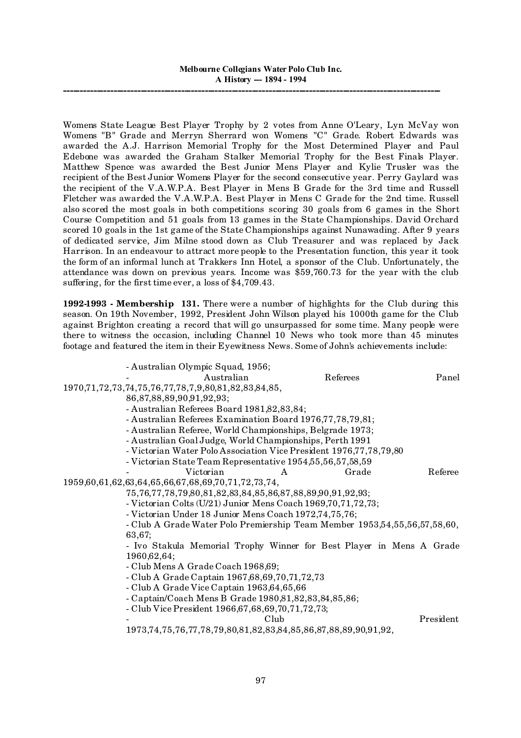Womens State League Best Player Trophy by 2 votes from Anne O'Leary, Lyn McVay won Womens "B" Grade and Merryn Sherrard won Womens "C" Grade. Robert Edwards was awarded the A.J. Harrison Memorial Trophy for the Most Determined Player and Paul Edebone was awarded the Graham Stalker Memorial Trophy for the Best Finals Player. Matthew Spence was awarded the Best Junior Mens Player and Kylie Trusler was the recipient of the Best Junior Womens Player for the second consecutive year. Perry Gaylard was the recipient of the V.A.W.P.A. Best Player in Mens B Grade for the 3rd time and Russell Fletcher was awarded the V.A.W.P.A. Best Player in Mens C Grade for the 2nd time. Russell also scored the most goals in both competitions scoring 30 goals from 6 games in the Short Course Competition and 51 goals from 13 games in the State Championships. David Orchard scored 10 goals in the 1st game of the State Championships against Nunawading. After 9 years of dedicated service, Jim Milne stood down as Club Treasurer and was replaced by Jack Harrison. In an endeavour to attract more people to the Presentation function, this year it took the form of an informal lunch at Trakkers Inn Hotel, a sponsor of the Club. Unfortunately, the attendance was down on previous years. Income was \$59,760.73 for the year with the club suffering, for the first time ever, a loss of \$4,709.43.

**1992-1993 - Membership 131.** There were a number of highlights for the Club during this season. On 19th November, 1992, President John Wilson played his 1000th game for the Club against Brighton creating a record that will go unsurpassed for some time. Many people were there to witness the occasion, including Channel 10 News who took more than 45 minutes footage and featured the item in their Eyewitness News. Some of John's achievements include:

| - Australian Olympic Squad, 1956;                                                 |          |           |
|-----------------------------------------------------------------------------------|----------|-----------|
| Australian                                                                        | Referees | Panel     |
| 1970, 71, 72, 73, 74, 75, 76, 77, 78, 7, 9, 80, 81, 82, 83, 84, 85,               |          |           |
| 86,87,88,89,90,91,92,93;                                                          |          |           |
| - Australian Referees Board 1981,82,83,84;                                        |          |           |
| - Australian Referees Examination Board 1976,77,78,79,81;                         |          |           |
| - Australian Referee, World Championships, Belgrade 1973;                         |          |           |
| - Australian Goal Judge, World Championships, Perth 1991                          |          |           |
| - Victorian Water Polo Association Vice President 1976,77,78,79,80                |          |           |
| - Victorian State Team Representative 1954, 55, 56, 57, 58, 59                    |          |           |
| Victorian<br>A                                                                    | Grade    | Referee   |
| 1959,60,61,62,63,64,65,66,67,68,69,70,71,72,73,74,                                |          |           |
| 75, 76, 77, 78, 79, 80, 81, 82, 83, 84, 85, 86, 87, 88, 89, 90, 91, 92, 93;       |          |           |
| - Victorian Colts (U/21) Junior Mens Coach 1969, 70, 71, 72, 73;                  |          |           |
| - Victorian Under 18 Junior Mens Coach 1972,74,75,76;                             |          |           |
| - Club A Grade Water Polo Premiership Team Member 1953,54,55,56,57,58,60,         |          |           |
| 63,67;                                                                            |          |           |
| - Ivo Stakula Memorial Trophy Winner for Best Player in Mens A Grade              |          |           |
| 1960, 62, 64;                                                                     |          |           |
| - Club Mens A Grade Coach 1968,69;                                                |          |           |
| - Club A Grade Captain 1967, 68, 69, 70, 71, 72, 73                               |          |           |
| - Club A Grade Vice Captain 1963,64,65,66                                         |          |           |
| - Captain/Coach Mens B Grade 1980,81,82,83,84,85,86;                              |          |           |
| - Club Vice President 1966, 67, 68, 69, 70, 71, 72, 73;                           |          |           |
| Club                                                                              |          | President |
| 1973, 74, 75, 76, 77, 78, 79, 80, 81, 82, 83, 84, 85, 86, 87, 88, 89, 90, 91, 92, |          |           |
|                                                                                   |          |           |
|                                                                                   |          |           |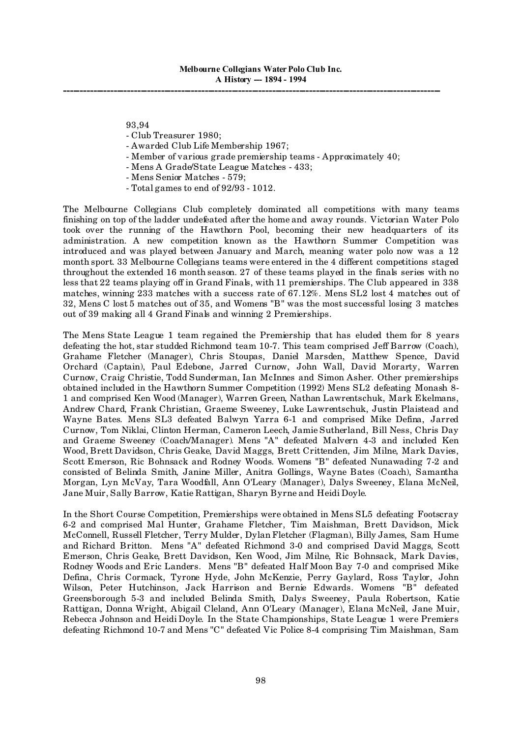93,94

- Club Treasurer 1980;
- Awarded Club Life Membership 1967;
- Member of various grade premiership teams Approximately 40;
- Mens A Grade/State League Matches 433;
- Mens Senior Matches 579;
- Total games to end of 92/93 1012.

The Melbourne Collegians Club completely dominated all competitions with many teams finishing on top of the ladder undefeated after the home and away rounds. Victorian Water Polo took over the running of the Hawthorn Pool, becoming their new headquarters of its administration. A new competition known as the Hawthorn Summer Competition was introduced and was played between January and March, meaning water polo now was a 12 month sport. 33 Melbourne Collegians teams were entered in the 4 different competitions staged throughout the extended 16 month season. 27 of these teams played in the finals series with no less that 22 teams playing off in Grand Finals, with 11 premierships. The Club appeared in 338 matches, winning 233 matches with a success rate of 67.12%. Mens SL2 lost 4 matches out of 32, Mens C lost 5 matches out of 35, and Womens "B" was the most successful losing 3 matches out of 39 making all 4 Grand Finals and winning 2 Premierships.

The Mens State League 1 team regained the Premiership that has eluded them for 8 years defeating the hot, star studded Richmond team 10-7. This team comprised Jeff Barrow (Coach), Grahame Fletcher (Manager), Chris Stoupas, Daniel Marsden, Matthew Spence, David Orchard (Captain), Paul Edebone, Jarred Curnow, John Wall, David Morarty, Warren Curnow, Craig Christie, Todd Sunderman, Ian McInnes and Simon Asher. Other premierships obtained included in the Hawthorn Summer Competition (1992) Mens SL2 defeating Monash 8- 1 and comprised Ken Wood (Manager), Warren Green, Nathan Lawrentschuk, Mark Ekelmans, Andrew Chard, Frank Christian, Graeme Sweeney, Luke Lawrentschuk, Justin Plaistead and Wayne Bates. Mens SL3 defeated Balwyn Yarra 6-1 and comprised Mike Defina, Jarred Curnow, Tom Niklai, Clinton Herman, Cameron Leech, Jamie Sutherland, Bill Ness, Chris Day and Graeme Sweeney (Coach/Manager). Mens "A" defeated Malvern 4-3 and included Ken Wood, Brett Davidson, Chris Geake, David Maggs, Brett Crittenden, Jim Milne, Mark Davies, Scott Emerson, Ric Bohnsack and Rodney Woods. Womens "B" defeated Nunawading 7-2 and consisted of Belinda Smith, Janine Miller, Anitra Gollings, Wayne Bates (Coach), Samantha Morgan, Lyn McVay, Tara Woodfall, Ann O'Leary (Manager), Dalys Sweeney, Elana McNeil, Jane Muir, Sally Barrow, Katie Rattigan, Sharyn Byrne and Heidi Doyle.

In the Short Course Competition, Premierships were obtained in Mens SL5 defeating Footscray 6-2 and comprised Mal Hunter, Grahame Fletcher, Tim Maishman, Brett Davidson, Mick McConnell, Russell Fletcher, Terry Mulder, Dylan Fletcher (Flagman), Billy James, Sam Hume and Richard Britton. Mens "A" defeated Richmond 3-0 and comprised David Maggs, Scott Emerson, Chris Geake, Brett Davidson, Ken Wood, Jim Milne, Ric Bohnsack, Mark Davies, Rodney Woods and Eric Landers. Mens "B" defeated Half Moon Bay 7-0 and comprised Mike Defina, Chris Cormack, Tyrone Hyde, John McKenzie, Perry Gaylard, Ross Taylor, John Wilson, Peter Hutchinson, Jack Harrison and Bernie Edwards. Womens "B" defeated Greensborough 5-3 and included Belinda Smith, Dalys Sweeney, Paula Robertson, Katie Rattigan, Donna Wright, Abigail Cleland, Ann O'Leary (Manager), Elana McNeil, Jane Muir, Rebecca Johnson and Heidi Doyle. In the State Championships, State League 1 were Premiers defeating Richmond 10-7 and Mens "C" defeated Vic Police 8-4 comprising Tim Maishman, Sam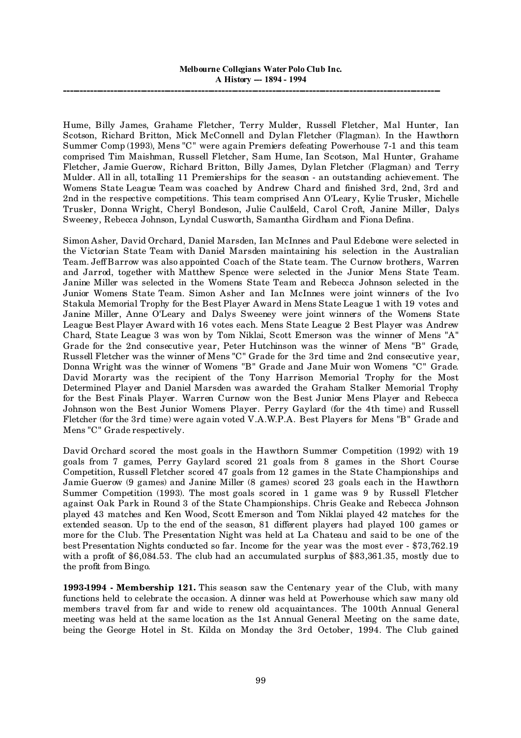Hume, Billy James, Grahame Fletcher, Terry Mulder, Russell Fletcher, Mal Hunter, Ian Scotson, Richard Britton, Mick McConnell and Dylan Fletcher (Flagman). In the Hawthorn Summer Comp (1993), Mens "C" were again Premiers defeating Powerhouse 7-1 and this team comprised Tim Maishman, Russell Fletcher, Sam Hume, Ian Scotson, Mal Hunter, Grahame Fletcher, Jamie Guerow, Richard Britton, Billy James, Dylan Fletcher (Flagman) and Terry Mulder. All in all, totalling 11 Premierships for the season - an outstanding achievement. The Womens State League Team was coached by Andrew Chard and finished 3rd, 2nd, 3rd and 2nd in the respective competitions. This team comprised Ann O'Leary, Kylie Trusler, Michelle Trusler, Donna Wright, Cheryl Bondeson, Julie Caulfield, Carol Croft, Janine Miller, Dalys Sweeney, Rebecca Johnson, Lyndal Cusworth, Samantha Girdham and Fiona Defina.

Simon Asher, David Orchard, Daniel Marsden, Ian McInnes and Paul Edebone were selected in the Victorian State Team with Daniel Marsden maintaining his selection in the Australian Team. Jeff Barrow was also appointed Coach of the State team. The Curnow brothers, Warren and Jarrod, together with Matthew Spence were selected in the Junior Mens State Team. Janine Miller was selected in the Womens State Team and Rebecca Johnson selected in the Junior Womens State Team. Simon Asher and Ian McInnes were joint winners of the Ivo Stakula Memorial Trophy for the Best Player Award in Mens State League 1 with 19 votes and Janine Miller, Anne O'Leary and Dalys Sweeney were joint winners of the Womens State League Best Player Award with 16 votes each. Mens State League 2 Best Player was Andrew Chard, State League 3 was won by Tom Niklai, Scott Emerson was the winner of Mens "A" Grade for the 2nd consecutive year, Peter Hutchinson was the winner of Mens "B" Grade, Russell Fletcher was the winner of Mens "C" Grade for the 3rd time and 2nd consecutive year, Donna Wright was the winner of Womens "B" Grade and Jane Muir won Womens "C" Grade. David Morarty was the recipient of the Tony Harrison Memorial Trophy for the Most Determined Player and Daniel Marsden was awarded the Graham Stalker Memorial Trophy for the Best Finals Player. Warren Curnow won the Best Junior Mens Player and Rebecca Johnson won the Best Junior Womens Player. Perry Gaylard (for the 4th time) and Russell Fletcher (for the 3rd time) were again voted V.A.W.P.A. Best Players for Mens "B" Grade and Mens "C" Grade respectively.

David Orchard scored the most goals in the Hawthorn Summer Competition (1992) with 19 goals from 7 games, Perry Gaylard scored 21 goals from 8 games in the Short Course Competition, Russell Fletcher scored 47 goals from 12 games in the State Championships and Jamie Guerow (9 games) and Janine Miller (8 games) scored 23 goals each in the Hawthorn Summer Competition (1993). The most goals scored in 1 game was 9 by Russell Fletcher against Oak Park in Round 3 of the State Championships. Chris Geake and Rebecca Johnson played 43 matches and Ken Wood, Scott Emerson and Tom Niklai played 42 matches for the extended season. Up to the end of the season, 81 different players had played 100 games or more for the Club. The Presentation Night was held at La Chateau and said to be one of the best Presentation Nights conducted so far. Income for the year was the most ever - \$73,762.19 with a profit of \$6,084.53. The club had an accumulated surplus of \$83,361.35, mostly due to the profit from Bingo.

**1993-1994 - Membership 121.** This season saw the Centenary year of the Club, with many functions held to celebrate the occasion. A dinner was held at Powerhouse which saw many old members travel from far and wide to renew old acquaintances. The 100th Annual General meeting was held at the same location as the 1st Annual General Meeting on the same date, being the George Hotel in St. Kilda on Monday the 3rd October, 1994. The Club gained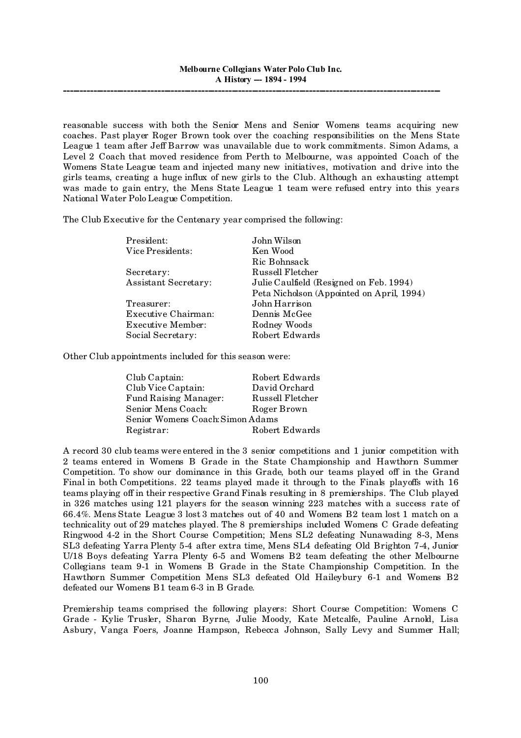reasonable success with both the Senior Mens and Senior Womens teams acquiring new coaches. Past player Roger Brown took over the coaching responsibilities on the Mens State League 1 team after Jeff Barrow was unavailable due to work commitments. Simon Adams, a Level 2 Coach that moved residence from Perth to Melbourne, was appointed Coach of the Womens State League team and injected many new initiatives, motivation and drive into the girls teams, creating a huge influx of new girls to the Club. Although an exhausting attempt was made to gain entry, the Mens State League 1 team were refused entry into this years National Water Polo League Competition.

The Club Executive for the Centenary year comprised the following:

| President:                  | John Wilson                               |
|-----------------------------|-------------------------------------------|
| Vice Presidents:            | Ken Wood                                  |
|                             | Ric Bohnsack                              |
| Secretary:                  | Russell Fletcher                          |
| <b>Assistant Secretary:</b> | Julie Caulfield (Resigned on Feb. 1994)   |
|                             | Peta Nicholson (Appointed on April, 1994) |
| Treasurer:                  | John Harrison                             |
| Executive Chairman:         | Dennis McGee                              |
| Executive Member:           | Rodney Woods                              |
| Social Secretary:           | Robert Edwards                            |

Other Club appointments included for this season were:

| Club Captain:                    | Robert Edwards   |  |  |
|----------------------------------|------------------|--|--|
| Club Vice Captain:               | David Orchard    |  |  |
| Fund Raising Manager:            | Russell Fletcher |  |  |
| Senior Mens Coach:               | Roger Brown      |  |  |
| Senior Womens Coach: Simon Adams |                  |  |  |
| Registrar:                       | Robert Edwards   |  |  |

A record 30 club teams were entered in the 3 senior competitions and 1 junior competition with 2 teams entered in Womens B Grade in the State Championship and Hawthorn Summer Competition. To show our dominance in this Grade, both our teams played off in the Grand Final in both Competitions. 22 teams played made it through to the Finals playoffs with 16 teams playing off in their respective Grand Finals resulting in 8 premierships. The Club played in 326 matches using 121 players for the season winning 223 matches with a success rate of 66.4%. Mens State League 3 lost 3 matches out of 40 and Womens B2 team lost 1 match on a technicality out of 29 matches played. The 8 premierships included Womens C Grade defeating Ringwood 4-2 in the Short Course Competition; Mens SL2 defeating Nunawading 8-3, Mens SL3 defeating Yarra Plenty 5-4 after extra time, Mens SL4 defeating Old Brighton 7-4, Junior U/18 Boys defeating Yarra Plenty 6-5 and Womens B2 team defeating the other Melbourne Collegians team 9-1 in Womens B Grade in the State Championship Competition. In the Hawthorn Summer Competition Mens SL3 defeated Old Haileybury 6-1 and Womens B2 defeated our Womens B1 team 6-3 in B Grade.

Premiership teams comprised the following players: Short Course Competition: Womens C Grade - Kylie Trusler, Sharon Byrne, Julie Moody, Kate Metcalfe, Pauline Arnold, Lisa Asbury, Vanga Foers, Joanne Hampson, Rebecca Johnson, Sally Levy and Summer Hall;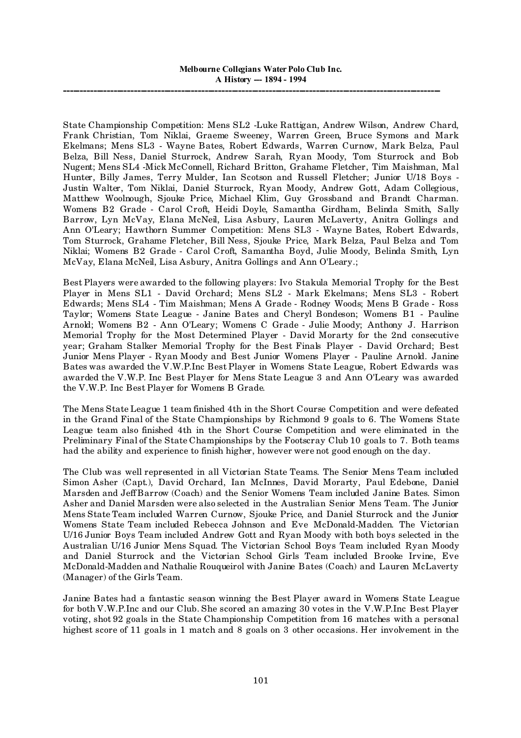State Championship Competition: Mens SL2 -Luke Rattigan, Andrew Wilson, Andrew Chard, Frank Christian, Tom Niklai, Graeme Sweeney, Warren Green, Bruce Symons and Mark Ekelmans; Mens SL3 - Wayne Bates, Robert Edwards, Warren Curnow, Mark Belza, Paul Belza, Bill Ness, Daniel Sturrock, Andrew Sarah, Ryan Moody, Tom Sturrock and Bob Nugent; Mens SL4 -Mick McConnell, Richard Britton, Grahame Fletcher, Tim Maishman, Mal Hunter, Billy James, Terry Mulder, Ian Scotson and Russell Fletcher; Junior U/18 Boys - Justin Walter, Tom Niklai, Daniel Sturrock, Ryan Moody, Andrew Gott, Adam Collegious, Matthew Woolnough, Sjouke Price, Michael Klim, Guy Grossband and Brandt Charman. Womens B2 Grade - Carol Croft, Heidi Doyle, Samantha Girdham, Belinda Smith, Sally Barrow, Lyn McVay, Elana McNeil, Lisa Asbury, Lauren McLaverty, Anitra Gollings and Ann O'Leary; Hawthorn Summer Competition: Mens SL3 - Wayne Bates, Robert Edwards, Tom Sturrock, Grahame Fletcher, Bill Ness, Sjouke Price, Mark Belza, Paul Belza and Tom Niklai; Womens B2 Grade - Carol Croft, Samantha Boyd, Julie Moody, Belinda Smith, Lyn McVay, Elana McNeil, Lisa Asbury, Anitra Gollings and Ann O'Leary.;

Best Players were awarded to the following players: Ivo Stakula Memorial Trophy for the Best Player in Mens SL1 - David Orchard; Mens SL2 - Mark Ekelmans; Mens SL3 - Robert Edwards; Mens SL4 - Tim Maishman; Mens A Grade - Rodney Woods; Mens B Grade - Ross Taylor; Womens State League - Janine Bates and Cheryl Bondeson; Womens B1 - Pauline Arnold; Womens B2 - Ann O'Leary; Womens C Grade - Julie Moody; Anthony J. Harrison Memorial Trophy for the Most Determined Player - David Morarty for the 2nd consecutive year; Graham Stalker Memorial Trophy for the Best Finals Player - David Orchard; Best Junior Mens Player - Ryan Moody and Best Junior Womens Player - Pauline Arnold. Janine Bates was awarded the V.W.P.Inc Best Player in Womens State League, Robert Edwards was awarded the V.W.P. Inc Best Player for Mens State League 3 and Ann O'Leary was awarded the V.W.P. Inc Best Player for Womens B Grade.

The Mens State League 1 team finished 4th in the Short Course Competition and were defeated in the Grand Final of the State Championships by Richmond 9 goals to 6. The Womens State League team also finished 4th in the Short Course Competition and were eliminated in the Preliminary Final of the State Championships by the Footscray Club 10 goals to 7. Both teams had the ability and experience to finish higher, however were not good enough on the day.

The Club was well represented in all Victorian State Teams. The Senior Mens Team included Simon Asher (Capt.), David Orchard, Ian McInnes, David Morarty, Paul Edebone, Daniel Marsden and Jeff Barrow (Coach) and the Senior Womens Team included Janine Bates. Simon Asher and Daniel Marsden were also selected in the Australian Senior Mens Team. The Junior Mens State Team included Warren Curnow, Sjouke Price, and Daniel Sturrock and the Junior Womens State Team included Rebecca Johnson and Eve McDonald-Madden. The Victorian U/16 Junior Boys Team included Andrew Gott and Ryan Moody with both boys selected in the Australian U/16 Junior Mens Squad. The Victorian School Boys Team included Ryan Moody and Daniel Sturrock and the Victorian School Girls Team included Brooke Irvine, Eve McDonald-Madden and Nathalie Rouqueirol with Janine Bates (Coach) and Lauren McLaverty (Manager) of the Girls Team.

Janine Bates had a fantastic season winning the Best Player award in Womens State League for both V.W.P.Inc and our Club. She scored an amazing 30 votes in the V.W.P.Inc Best Player voting, shot 92 goals in the State Championship Competition from 16 matches with a personal highest score of 11 goals in 1 match and 8 goals on 3 other occasions. Her involvement in the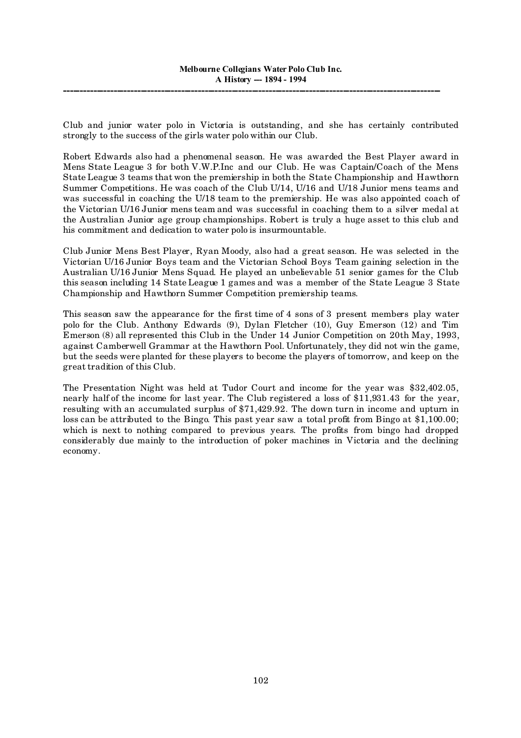Club and junior water polo in Victoria is outstanding, and she has certainly contributed strongly to the success of the girls water polo within our Club.

Robert Edwards also had a phenomenal season. He was awarded the Best Player award in Mens State League 3 for both V.W.P.Inc and our Club. He was Captain/Coach of the Mens State League 3 teams that won the premiership in both the State Championship and Hawthorn Summer Competitions. He was coach of the Club U/14, U/16 and U/18 Junior mens teams and was successful in coaching the U/18 team to the premiership. He was also appointed coach of the Victorian U/16 Junior mens team and was successful in coaching them to a silver medal at the Australian Junior age group championships. Robert is truly a huge asset to this club and his commitment and dedication to water polo is insurmountable.

Club Junior Mens Best Player, Ryan Moody, also had a great season. He was selected in the Victorian U/16 Junior Boys team and the Victorian School Boys Team gaining selection in the Australian U/16 Junior Mens Squad. He played an unbelievable 51 senior games for the Club this season including 14 State League 1 games and was a member of the State League 3 State Championship and Hawthorn Summer Competition premiership teams.

This season saw the appearance for the first time of 4 sons of 3 present members play water polo for the Club. Anthony Edwards (9), Dylan Fletcher (10), Guy Emerson (12) and Tim Emerson (8) all represented this Club in the Under 14 Junior Competition on 20th May, 1993, against Camberwell Grammar at the Hawthorn Pool. Unfortunately, they did not win the game, but the seeds were planted for these players to become the players of tomorrow, and keep on the great tradition of this Club.

The Presentation Night was held at Tudor Court and income for the year was \$32,402.05, nearly half of the income for last year. The Club registered a loss of \$11,931.43 for the year, resulting with an accumulated surplus of \$71,429.92. The down turn in income and upturn in loss can be attributed to the Bingo. This past year saw a total profit from Bingo at \$1,100.00; which is next to nothing compared to previous years. The profits from bingo had dropped considerably due mainly to the introduction of poker machines in Victoria and the declining economy.